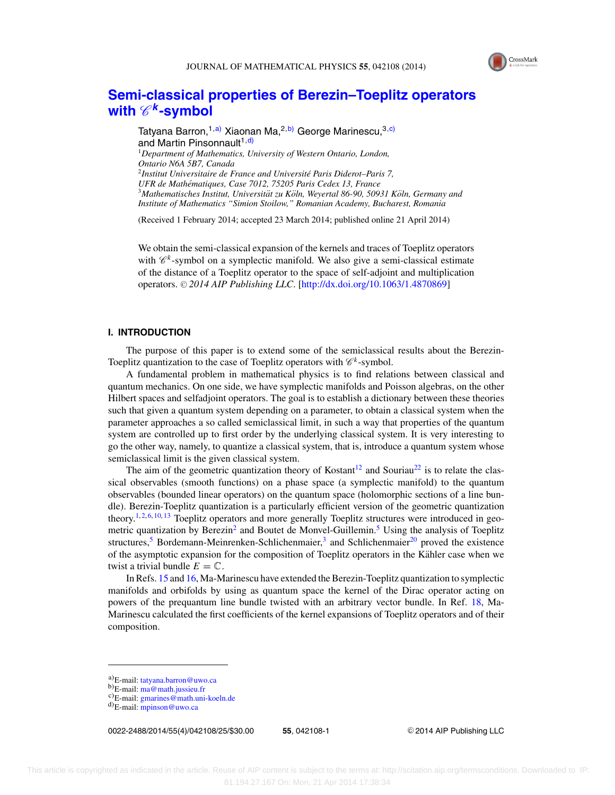

# **[Semi-classical properties of Berezin–Toeplitz operators](http://dx.doi.org/10.1063/1.4870869) with**  $\mathscr{C}^k$ [-symbol](http://dx.doi.org/10.1063/1.4870869)

Tatyana Barron, <sup>1, a)</sup> Xiaonan Ma, <sup>2, b</sup>) George Marinescu, <sup>3, c</sup>) and Martin Pinsonnault<sup>1,d)</sup> <sup>1</sup>*Department of Mathematics, University of Western Ontario, London, Ontario N6A 5B7, Canada* <sup>2</sup>*Institut Universitaire de France and Universite Paris Diderot–Paris 7, ´ UFR de Mathematiques, Case 7012, 75205 Paris Cedex 13, France ´* <sup>3</sup>Mathematisches Institut, Universität zu Köln, Weyertal 86-90, 50931 Köln, Germany and *Institute of Mathematics "Simion Stoilow," Romanian Academy, Bucharest, Romania*

(Received 1 February 2014; accepted 23 March 2014; published online 21 April 2014)

We obtain the semi-classical expansion of the kernels and traces of Toeplitz operators with  $\mathscr{C}^k$ -symbol on a symplectic manifold. We also give a semi-classical estimate of the distance of a Toeplitz operator to the space of self-adjoint and multiplication operators. © 2014 AIP Publishing LLC. [\[http://dx.doi.org/10.1063/1.4870869\]](http://dx.doi.org/10.1063/1.4870869)

## **I. INTRODUCTION**

The purpose of this paper is to extend some of the semiclassical results about the Berezin-Toeplitz quantization to the case of Toeplitz operators with  $\mathcal{C}^k$ -symbol.

A fundamental problem in mathematical physics is to find relations between classical and quantum mechanics. On one side, we have symplectic manifolds and Poisson algebras, on the other Hilbert spaces and selfadjoint operators. The goal is to establish a dictionary between these theories such that given a quantum system depending on a parameter, to obtain a classical system when the parameter approaches a so called semiclassical limit, in such a way that properties of the quantum system are controlled up to first order by the underlying classical system. It is very interesting to go the other way, namely, to quantize a classical system, that is, introduce a quantum system whose semiclassical limit is the given classical system.

The aim of the geometric quantization theory of Kostant<sup>[12](#page-24-0)</sup> and Souriau<sup>22</sup> is to relate the classical observables (smooth functions) on a phase space (a symplectic manifold) to the quantum observables (bounded linear operators) on the quantum space (holomorphic sections of a line bundle). Berezin-Toeplitz quantization is a particularly efficient version of the geometric quantization theory.<sup>1, [2,](#page-24-0) [6,](#page-24-0) [10,](#page-24-0) [13](#page-24-0)</sup> Toeplitz operators and more generally Toeplitz structures were introduced in geo-metric quantization by Berezin<sup>2</sup> and Boutet de Monvel-Guillemin.<sup>[5](#page-24-0)</sup> Using the analysis of Toeplitz structures,<sup>[5](#page-24-0)</sup> Bordemann-Meinrenken-Schlichenmaier,<sup>3</sup> and Schlichenmaier<sup>[20](#page-24-0)</sup> proved the existence of the asymptotic expansion for the composition of Toeplitz operators in the Kähler case when we twist a trivial bundle  $E = \mathbb{C}$ .

In Refs. [15](#page-24-0) and [16,](#page-24-0) Ma-Marinescu have extended the Berezin-Toeplitz quantization to symplectic manifolds and orbifolds by using as quantum space the kernel of the Dirac operator acting on powers of the prequantum line bundle twisted with an arbitrary vector bundle. In Ref. [18,](#page-24-0) Ma-Marinescu calculated the first coefficients of the kernel expansions of Toeplitz operators and of their composition.

0022-2488/2014/55(4)/042108/25/\$30.00 **55**, 042108-1 -

<sup>C</sup> 2014 AIP Publishing LLC

a)E-mail: [tatyana.barron@uwo.ca](mailto: tatyana.barron@uwo.ca)<br>b)E-mail: [ma@math.jussieu.fr](mailto: ma@math.jussieu.fr)<br>c)E-mail: [gmarines@math.uni-koeln.de](mailto: gmarines@math.uni-koeln.de)<br>d)E-mail: [mpinson@uwo.ca](mailto: mpinson@uwo.ca)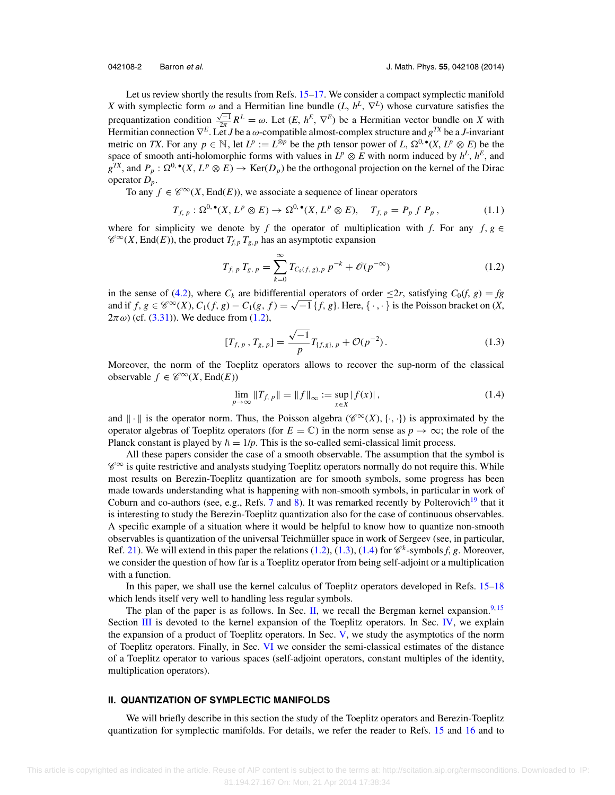<span id="page-1-0"></span>

Let us review shortly the results from Refs. [15–17.](#page-24-0) We consider a compact symplectic manifold *X* with symplectic form  $\omega$  and a Hermitian line bundle (*L*,  $h^L$ ,  $\nabla^L$ ) whose curvature satisfies the prequantization condition  $\frac{\sqrt{-1}}{2\pi}R^L = \omega$ . Let  $(E, h^E, \nabla^E)$  be a Hermitian vector bundle on *X* with Hermitian connection ∇*<sup>E</sup>*. Let *J* be a ω-compatible almost-complex structure and *gTX* be a *J*-invariant metric on *TX*. For any  $p \in \mathbb{N}$ , let  $L^p := L^{\hat{\otimes}p}$  be the *p*th tensor power of *L*,  $\Omega^{0,\bullet}(X, L^p \otimes E)$  be the space of smooth anti-holomorphic forms with values in  $L^p \otimes E$  with norm induced by  $h^L$ ,  $h^E$ , and  $g^{TX}$ , and  $P_p: \Omega^{0,\bullet}(X, L^p \otimes E) \to \text{Ker}(D_p)$  be the orthogonal projection on the kernel of the Dirac operator *Dp*.

To any  $f \in \mathcal{C}^{\infty}(X, \text{End}(E))$ , we associate a sequence of linear operators

$$
T_{f, p}: \Omega^{0, \bullet}(X, L^p \otimes E) \to \Omega^{0, \bullet}(X, L^p \otimes E), \quad T_{f, p} = P_p f P_p, \qquad (1.1)
$$

where for simplicity we denote by *f* the operator of multiplication with *f*. For any *f*,  $g \in$  $\mathcal{C}^{\infty}(X, \text{End}(E))$ , the product  $T_{f,p} T_{g,p}$  has an asymptotic expansion

$$
T_{f, p} T_{g, p} = \sum_{k=0}^{\infty} T_{C_k(f, g), p} p^{-k} + \mathcal{O}(p^{-\infty})
$$
 (1.2)

in the sense of [\(4.2\)](#page-12-0), where  $C_k$  are bidifferential operators of order  $\leq 2r$ , satisfying  $C_0(f, g) = fg$ and if  $f, g \in \mathscr{C}^{\infty}(X), C_1(f, g) - C_1(g, f) = \sqrt{-1} \{f, g\}.$  Here,  $\{\cdot, \cdot\}$  is the Poisson bracket on  $(X, g)$  $(2\pi \omega)$  (cf. [\(3.31\)](#page-11-0)). We deduce from (1.2),

$$
[T_{f, p}, T_{g, p}] = \frac{\sqrt{-1}}{p} T_{\{f, g\}, p} + \mathcal{O}(p^{-2}).
$$
 (1.3)

Moreover, the norm of the Toeplitz operators allows to recover the sup-norm of the classical observable  $f \in \mathscr{C}^{\infty}(X, \text{End}(E))$ 

$$
\lim_{p \to \infty} \|T_{f, p}\| = \|f\|_{\infty} := \sup_{x \in X} |f(x)|,
$$
\n(1.4)

and  $\|\cdot\|$  is the operator norm. Thus, the Poisson algebra ( $\mathscr{C}^{\infty}(X), \{\cdot, \cdot\}$ ) is approximated by the operator algebras of Toeplitz operators (for  $E = \mathbb{C}$ ) in the norm sense as  $p \to \infty$ ; the role of the Planck constant is played by  $\hbar = 1/p$ . This is the so-called semi-classical limit process.

All these papers consider the case of a smooth observable. The assumption that the symbol is  $\mathscr{C}^{\infty}$  is quite restrictive and analysts studying Toeplitz operators normally do not require this. While most results on Berezin-Toeplitz quantization are for smooth symbols, some progress has been made towards understanding what is happening with non-smooth symbols, in particular in work of Coburn and co-authors (see, e.g., Refs. [7](#page-24-0) and [8\)](#page-24-0). It was remarked recently by Polterovich<sup>19</sup> that it is interesting to study the Berezin-Toeplitz quantization also for the case of continuous observables. A specific example of a situation where it would be helpful to know how to quantize non-smooth observables is quantization of the universal Teichmüller space in work of Sergeev (see, in particular, Ref. [21\)](#page-24-0). We will extend in this paper the relations  $(1.2)$ ,  $(1.3)$ ,  $(1.4)$  for  $\mathcal{C}^k$ -symbols *f*, *g*. Moreover, we consider the question of how far is a Toeplitz operator from being self-adjoint or a multiplication with a function.

In this paper, we shall use the kernel calculus of Toeplitz operators developed in Refs. [15–18](#page-24-0) which lends itself very well to handling less regular symbols.

The plan of the paper is as follows. In Sec. II, we recall the Bergman kernel expansion.<sup>[9,](#page-24-0) [15](#page-24-0)</sup> Section [III](#page-6-0) is devoted to the kernel expansion of the Toeplitz operators. In Sec. [IV,](#page-12-0) we explain the expansion of a product of Toeplitz operators. In Sec. [V,](#page-16-0) we study the asymptotics of the norm of Toeplitz operators. Finally, in Sec. [VI](#page-21-0) we consider the semi-classical estimates of the distance of a Toeplitz operator to various spaces (self-adjoint operators, constant multiples of the identity, multiplication operators).

## **II. QUANTIZATION OF SYMPLECTIC MANIFOLDS**

We will briefly describe in this section the study of the Toeplitz operators and Berezin-Toeplitz quantization for symplectic manifolds. For details, we refer the reader to Refs. [15](#page-24-0) and [16](#page-24-0) and to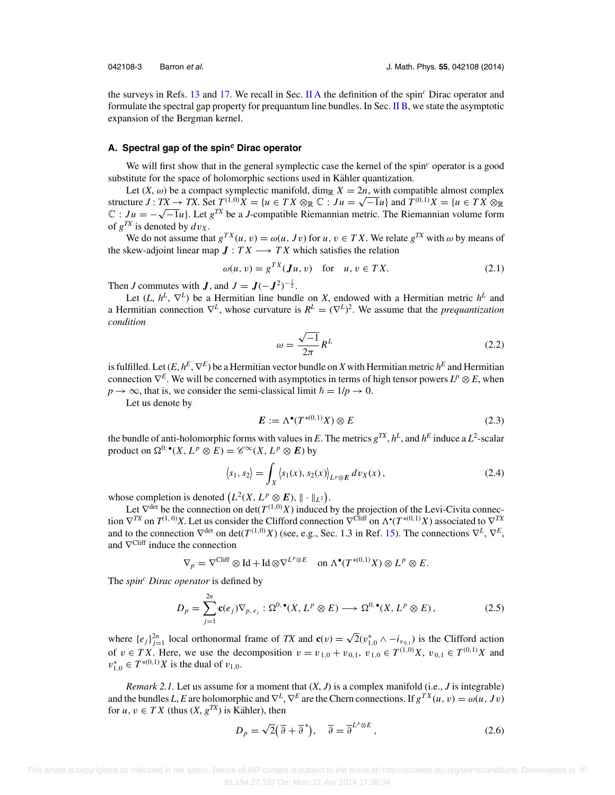<span id="page-2-0"></span>

the surveys in Refs. [13](#page-24-0) and [17.](#page-24-0) We recall in Sec. II A the definition of the spin*<sup>c</sup>* Dirac operator and formulate the spectral gap property for prequantum line bundles. In Sec. [II B,](#page-3-0) we state the asymptotic expansion of the Bergman kernel.

### **A. Spectral gap of the spin<sup>c</sup> Dirac operator**

We will first show that in the general symplectic case the kernel of the spin<sup>c</sup> operator is a good substitute for the space of holomorphic sections used in Kähler quantization.

Let  $(X, \omega)$  be a compact symplectic manifold, dim<sub>R</sub>  $X = 2n$ , with compatible almost complex structure *J* : *TX* → *TX*. Set  $T^{(1,0)}X = \{u \in TX \otimes \mathbb{R} \mathbb{C} : Ju = \sqrt{-1}u\}$  and  $T^{(0,1)}X = \{u \in TX \otimes \mathbb{R} \mathbb{C} : Ju = \sqrt{-1}u\}$  $\mathbb{C}$  :  $Ju = -\sqrt{-1}u$ . Let  $g^{TX}$  be a *J*-compatible Riemannian metric. The Riemannian volume form of  $g^{TX}$  is denoted by  $dv_X$ .

We do not assume that  $g^{TX}(u, v) = \omega(u, Jv)$  for  $u, v \in TX$ . We relate  $g^{TX}$  with  $\omega$  by means of the skew-adjoint linear map  $J: TX \longrightarrow TX$  which satisfies the relation

$$
\omega(u, v) = g^{TX}(\mathbf{J}u, v) \quad \text{for} \quad u, v \in TX. \tag{2.1}
$$

Then *J* commutes with *J*, and  $J = J(-J^2)^{-\frac{1}{2}}$ .

Let  $(L, h^L, \nabla^L)$  be a Hermitian line bundle on *X*, endowed with a Hermitian metric  $h^L$  and a Hermitian connection  $\nabla^L$ , whose curvature is  $R^L = (\nabla^L)^2$ . We assume that the *prequantization condition*

$$
\omega = \frac{\sqrt{-1}}{2\pi} R^L \tag{2.2}
$$

is fulfilled. Let  $(E, h^E, \nabla^E)$  be a Hermitian vector bundle on *X* with Hermitian metric  $h^E$  and Hermitian connection  $\nabla^E$ . We will be concerned with asymptotics in terms of high tensor powers  $L^p \otimes E$ , when  $p \to \infty$ , that is, we consider the semi-classical limit  $\hbar = 1/p \to 0$ .

Let us denote by

$$
E := \Lambda^{\bullet}(T^{*(0,1)}X) \otimes E \tag{2.3}
$$

the bundle of anti-holomorphic forms with values in *E*. The metrics  $g^{TX}$ ,  $h^L$ , and  $h^E$  induce a  $L^2$ -scalar product on  $\Omega^{0,\bullet}(X, L^p \otimes E) = \mathscr{C}^{\infty}(X, L^p \otimes E)$  by

$$
\langle s_1, s_2 \rangle = \int_X \langle s_1(x), s_2(x) \rangle_{L^p \otimes E} \, dv_X(x) \,, \tag{2.4}
$$

whose completion is denoted  $(L^2(X, L^p \otimes E), \| \cdot \|_{L^2})$ .

Let  $\nabla^{\text{det}}$  be the connection on det( $T^{(1,0)}X$ ) induced by the projection of the Levi-Civita connection  $\nabla^{TX}$  on  $T^{(1, 0)}X$ . Let us consider the Clifford connection  $\nabla^{Cliff}$  on  $\Lambda^{\bullet}(T^{*(0, 1)}X)$  associated to  $\nabla^{TX}$ and to the connection  $\nabla^{\text{det}}$  on det( $T^{(1,0)}X$ ) (see, e.g., Sec. 1.3 in Ref. [15\)](#page-24-0). The connections  $\nabla^L$ ,  $\nabla^E$ , and  $\nabla^{\text{Cliff}}$  induce the connection

 $\nabla_p = \nabla^{\text{Cliff}} \otimes \text{Id} + \text{Id} \otimes \nabla^{L^p \otimes E} \quad \text{on } \Lambda^{\bullet}(T^{*(0,1)}X) \otimes L^p \otimes E.$ 

The *spin<sup>c</sup>* Dirac *operator* is defined by

$$
D_p = \sum_{j=1}^{2n} \mathbf{c}(e_j) \nabla_{p,e_j} : \Omega^{0,\bullet}(X, L^p \otimes E) \longrightarrow \Omega^{0,\bullet}(X, L^p \otimes E), \tag{2.5}
$$

where  $\{e_j\}_{j=1}^{2n}$  local orthonormal frame of *TX* and  $\mathbf{c}(v) = \sqrt{2}(v_{1,0}^* \wedge -i_{v_{0,1}})$  is the Clifford action of  $v \in TX$ . Here, we use the decomposition  $v = v_{1,0} + v_{0,1}$ ,  $v_{1,0} \in T^{(1,0)}X$ ,  $v_{0,1} \in T^{(0,1)}X$  and  $v_{1,0}^* \in T^{*(0,1)}X$  is the dual of  $v_{1,0}$ .

*Remark 2.1.* Let us assume for a moment that  $(X, J)$  is a complex manifold (i.e., *J* is integrable) and the bundles *L*, *E* are holomorphic and  $\nabla^L$ ,  $\nabla^E$  are the Chern connections. If  $g^{TX}(u, v) = \omega(u, Jv)$ for  $u, v \in TX$  (thus  $(X, g^{TX})$  is Kähler), then

$$
D_p = \sqrt{2}(\overline{\partial} + \overline{\partial}^*), \quad \overline{\partial} = \overline{\partial}^{L^p \otimes E}, \tag{2.6}
$$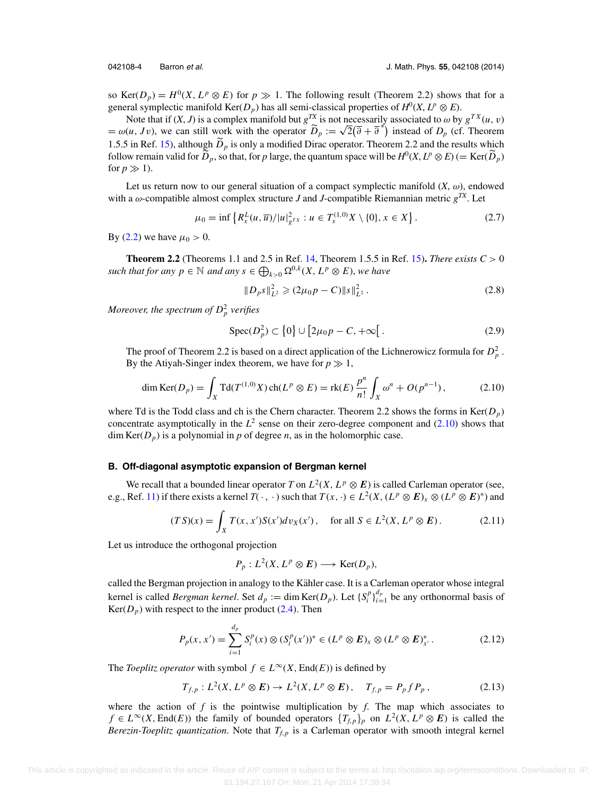<span id="page-3-0"></span>

so Ker( $D_p$ ) =  $H^0(X, L^p \otimes E)$  for  $p \gg 1$ . The following result (Theorem 2.2) shows that for a general symplectic manifold Ker( $D_p$ ) has all semi-classical properties of  $H^0(X, L^p \otimes E)$ .

Note that if  $(X, J)$  is a complex manifold but  $g^{TX}$  is not necessarily associated to  $\omega$  by  $g^{TX}(u, v)$ Note that if  $(X, J)$  is a complex manifold but  $g^{2n}$  is not necessarily associated to  $\omega$  by  $g^{2n}(u, v)$ <br>=  $\omega(u, Jv)$ , we can still work with the operator  $\tilde{D}_p := \sqrt{2}(\bar{\partial} + \bar{\partial}^*)$  instead of  $D_p$  (cf. Theorem 1.5.5 in Ref. [15\)](#page-24-0), although  $D_p$  is only a modified Dirac operator. Theorem 2.2 and the results which follow remain valid for  $\widetilde{D}_p$ , so that, for *p* large, the quantum space will be  $H^0(X, L^p \otimes E)$  (= Ker( $\widetilde{D}_p$ ) for  $p \gg 1$ ).

Let us return now to our general situation of a compact symplectic manifold  $(X, \omega)$ , endowed with a  $\omega$ -compatible almost complex structure *J* and *J*-compatible Riemannian metric  $g^{TX}$ . Let

$$
\mu_0 = \inf \left\{ R_x^L(u, \overline{u}) / |u|_{g^{TX}}^2 : u \in T_x^{(1,0)} X \setminus \{0\}, x \in X \right\}.
$$
 (2.7)

By [\(2.2\)](#page-2-0) we have  $\mu_0 > 0$ .

**Theorem 2.2** (Theorems 1.1 and 2.5 in Ref. [14,](#page-24-0) Theorem 1.5.5 in Ref. [15\)](#page-24-0). *There exists*  $C > 0$ *such that for any*  $p \in \mathbb{N}$  *and any*  $s \in \bigoplus_{k>0} \Omega^{0,k}(X, L^p \otimes E)$ , we have

$$
||D_p s||_{L^2}^2 \geq (2\mu_0 p - C) ||s||_{L^2}^2.
$$
 (2.8)

*Moreover, the spectrum of D*<sup>2</sup> *<sup>p</sup> verifies*

$$
\operatorname{Spec}(D_p^2) \subset \{0\} \cup [2\mu_0 p - C, +\infty[.
$$
 (2.9)

The proof of Theorem 2.2 is based on a direct application of the Lichnerowicz formula for  $D_p^2$ . By the Atiyah-Singer index theorem, we have for  $p \gg 1$ ,

$$
\dim \text{Ker}(D_p) = \int_X \text{Td}(T^{(1,0)}X) \operatorname{ch}(L^p \otimes E) = \text{rk}(E) \frac{p^n}{n!} \int_X \omega^n + O(p^{n-1}), \tag{2.10}
$$

where Td is the Todd class and ch is the Chern character. Theorem 2.2 shows the forms in Ker( $D_p$ ) concentrate asymptotically in the  $L^2$  sense on their zero-degree component and (2.10) shows that  $\dim \text{Ker}(D_p)$  is a polynomial in p of degree n, as in the holomorphic case.

#### **B. Off-diagonal asymptotic expansion of Bergman kernel**

We recall that a bounded linear operator *T* on  $L^2(X, L^p \otimes E)$  is called Carleman operator (see, e.g., Ref. [11\)](#page-24-0) if there exists a kernel  $T(\cdot, \cdot)$  such that  $T(x, \cdot) \in L^2(X, (L^p \otimes E)_x \otimes (L^p \otimes E)^*)$  and

$$
(TS)(x) = \int_X T(x, x')S(x')dv_X(x'), \text{ for all } S \in L^2(X, L^p \otimes E). \tag{2.11}
$$

Let us introduce the orthogonal projection

$$
P_p: L^2(X, L^p \otimes E) \longrightarrow \text{Ker}(D_p),
$$

called the Bergman projection in analogy to the Kähler case. It is a Carleman operator whose integral kernel is called *Bergman kernel*. Set  $d_p := \dim \text{Ker}(D_p)$ . Let  $\{S_i^p\}_{i=1}^{d_p}$  be any orthonormal basis of  $Ker(D_p)$  with respect to the inner product [\(2.4\)](#page-2-0). Then

$$
P_p(x, x') = \sum_{i=1}^{d_p} S_i^p(x) \otimes (S_i^p(x'))^* \in (L^p \otimes E)_x \otimes (L^p \otimes E)_{x'}^*.
$$
 (2.12)

The *Toeplitz operator* with symbol  $f \in L^{\infty}(X, End(E))$  is defined by

$$
T_{f,p}: L^2(X, L^p \otimes E) \to L^2(X, L^p \otimes E), \quad T_{f,p} = P_p f P_p, \qquad (2.13)
$$

where the action of  $f$  is the pointwise multiplication by  $f$ . The map which associates to *f* ∈ *L*<sup>∞</sup>(*X*, End(*E*)) the family of bounded operators  ${T_{f,p}}_p$  on *L*<sup>2</sup>(*X*, *L*<sup>*p*</sup> ⊗ *E*) is called the *Berezin-Toeplitz quantization*. Note that  $T_{f,p}$  is a Carleman operator with smooth integral kernel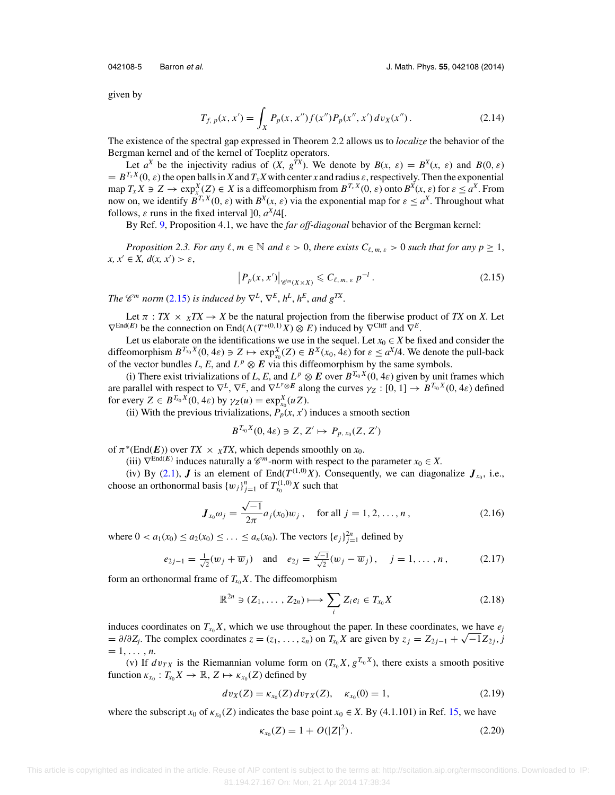<span id="page-4-0"></span>

given by

$$
T_{f, p}(x, x') = \int_X P_p(x, x'') f(x'') P_p(x'', x') \, dv_X(x''). \tag{2.14}
$$

The existence of the spectral gap expressed in Theorem 2.2 allows us to *localize* the behavior of the Bergman kernel and of the kernel of Toeplitz operators.

Let  $a^X$  be the injectivity radius of  $(X, g^{TX})$ . We denote by  $B(x, \varepsilon) = B^X(x, \varepsilon)$  and  $B(0, \varepsilon)$  $B^{T_x X}(0, \varepsilon)$  the open balls in *X* and  $T_x X$  with center *x* and radius  $\varepsilon$ , respectively. Then the exponential  $\max_{x} X \ni Z \to \exp_{x}^{X}(Z) \in X$  is a diffeomorphism from  $B^{T_x X}(0, \varepsilon)$  onto  $B^{X}(x, \varepsilon)$  for  $\varepsilon \le a^X$ . From now on, we identify  $B^{T_x X}(0, \varepsilon)$  with  $B^X(x, \varepsilon)$  via the exponential map for  $\varepsilon < a^X$ . Throughout what follows,  $\varepsilon$  runs in the fixed interval  $[0, a^X/4]$ .

By Ref. [9,](#page-24-0) Proposition 4.1, we have the *far off-diagonal* behavior of the Bergman kernel:

*Proposition 2.3. For any*  $\ell, m \in \mathbb{N}$  *and*  $\varepsilon > 0$ *, there exists*  $C_{\ell, m, \varepsilon} > 0$  *such that for any*  $p \ge 1$ *,*  $x, x' \in X, d(x, x') > \varepsilon,$ 

$$
\left|P_p(x, x')\right|_{\mathscr{C}^m(X \times X)} \leqslant C_{\ell, m, \varepsilon} p^{-l} \,. \tag{2.15}
$$

*The*  $\mathscr{C}^m$  *norm* (2.15) *is induced by*  $\nabla^L$ ,  $\nabla^E$ ,  $h^L$ ,  $h^E$ , *and*  $g^{TX}$ .

Let  $\pi$  : *TX*  $\times$  *xTX*  $\rightarrow$  *X* be the natural projection from the fiberwise product of *TX* on *X*. Let  $\nabla^{\text{End}(E)}$  be the connection on End( $\Lambda(T^{*(0,1)}X)\otimes E$ ) induced by  $\nabla^{\text{Cliff}}$  and  $\nabla^E$ .

Let us elaborate on the identifications we use in the sequel. Let  $x_0 \in X$  be fixed and consider the diffeomorphism  $B^{T_{x_0}X}(0, 4\varepsilon) \ni Z \mapsto \exp_{x_0}^X(Z) \in B^X(x_0, 4\varepsilon)$  for  $\varepsilon \le a^X/4$ . We denote the pull-back of the vector bundles *L*, *E*, and  $L^p \otimes E$  via this diffeomorphism by the same symbols.

(i) There exist trivializations of *L*, *E*, and  $L^p \otimes E$  over  $B^{T_{x_0}X}(0, 4\varepsilon)$  given by unit frames which are parallel with respect to  $\nabla^L$ ,  $\nabla^E$ , and  $\nabla^{L^p \otimes E}$  along the curves  $\gamma_Z : [0, 1] \to B^{T_{x_0}X}(0, 4\varepsilon)$  defined for every  $Z \in B^{T_{x_0}X}(0, 4\varepsilon)$  by  $\gamma_Z(u) = \exp_{x_0}^X(uZ)$ .

(ii) With the previous trivializations,  $P_p(x, x')$  induces a smooth section

$$
B^{T_{x_0}X}(0,4\varepsilon)\ni Z,\,Z'\mapsto P_{p,\,x_0}(Z,\,Z')
$$

of  $\pi^*(End(E))$  over  $TX \times \chi TX$ , which depends smoothly on  $x_0$ .

(iii)  $\nabla^{\text{End}(E)}$  induces naturally a  $\mathscr{C}^m$ -norm with respect to the parameter  $x_0 \in X$ .

(iv) By [\(2.1\)](#page-2-0), *J* is an element of End( $T^{(1,0)}X$ ). Consequently, we can diagonalize  $J_{x_0}$ , i.e., choose an orthonormal basis  $\{w_j\}_{j=1}^n$  of  $T_{x_0}^{(1,0)}X$  such that

$$
\mathbf{J}_{x_0} \omega_j = \frac{\sqrt{-1}}{2\pi} a_j(x_0) w_j \,, \quad \text{for all } j = 1, 2, \dots, n \,, \tag{2.16}
$$

where  $0 < a_1(x_0) \le a_2(x_0) \le \ldots \le a_n(x_0)$ . The vectors  $\{e_j\}_{j=1}^{2n}$  defined by

$$
e_{2j-1} = \frac{1}{\sqrt{2}}(w_j + \overline{w}_j)
$$
 and  $e_{2j} = \frac{\sqrt{-1}}{\sqrt{2}}(w_j - \overline{w}_j), \quad j = 1, ..., n,$  (2.17)

form an orthonormal frame of  $T_{x_0}X$ . The diffeomorphism

$$
\mathbb{R}^{2n} \ni (Z_1, \ldots, Z_{2n}) \longmapsto \sum_i Z_i e_i \in T_{x_0} X \tag{2.18}
$$

induces coordinates on  $T_{x_0}X$ , which we use throughout the paper. In these coordinates, we have  $e_j$  $Z = \partial/\partial Z_j$ . The complex coordinates  $z = (z_1, \ldots, z_n)$  on  $T_{x_0}X$  are given by  $z_j = Z_{2j-1} + \sqrt{-1}Z_{2j}$ , *j*  $= 1, \ldots, n$ .

(v) If  $dv_{TX}$  is the Riemannian volume form on  $(T_{x_0}X, g^{T_{x_0}X})$ , there exists a smooth positive function  $\kappa_{x_0}: T_{x_0}X \to \mathbb{R}, Z \mapsto \kappa_{x_0}(Z)$  defined by

$$
dv_X(Z) = \kappa_{x_0}(Z) \, dv_{TX}(Z), \quad \kappa_{x_0}(0) = 1,\tag{2.19}
$$

where the subscript  $x_0$  of  $\kappa_{x_0}(Z)$  indicates the base point  $x_0 \in X$ . By (4.1.101) in Ref. [15,](#page-24-0) we have

$$
\kappa_{x_0}(Z) = 1 + O(|Z|^2). \tag{2.20}
$$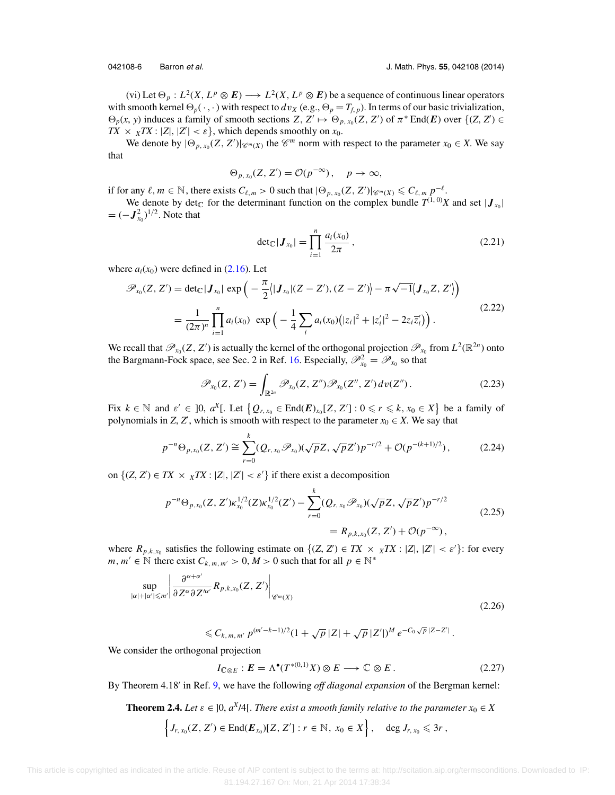<span id="page-5-0"></span>

(vi) Let  $\Theta_p : L^2(X, L^p \otimes E) \longrightarrow L^2(X, L^p \otimes E)$  be a sequence of continuous linear operators with smooth kernel  $\Theta_p(\cdot, \cdot)$  with respect to  $dv_X$  (e.g.,  $\Theta_p = T_{f, p}$ ). In terms of our basic trivialization,  $\Theta_p(x, y)$  induces a family of smooth sections *Z*, *Z*'  $\mapsto \Theta_{p, x_0}(Z, Z')$  of  $\pi^* \text{End}(E)$  over  $\{(Z, Z') \in$  $TX \times \chi TX : |Z|, |Z'| < \varepsilon$ , which depends smoothly on  $x_0$ .

We denote by  $|\Theta_{p, x_0}(Z, Z')|_{\mathscr{C}^m(X)}$  the  $\mathscr{C}^m$  norm with respect to the parameter  $x_0 \in X$ . We say that

$$
\Theta_{p,x_0}(Z,Z') = \mathcal{O}(p^{-\infty}), \quad p \to \infty,
$$

if for any  $\ell, m \in \mathbb{N}$ , there exists  $C_{\ell,m} > 0$  such that  $|\Theta_{p,x_0}(Z, Z')|_{\mathscr{C}^m(X)} \leq C_{\ell,m} p^{-\ell}$ .

We denote by det<sub>C</sub> for the determinant function on the complex bundle  $T^{(1, 0)}X$  and set  $|J_{x_0}|$  $= (-J_{x_0}^2)^{1/2}$ . Note that

$$
\det_{\mathbb{C}}|\mathbf{J}_{x_0}| = \prod_{i=1}^n \frac{a_i(x_0)}{2\pi},
$$
\n(2.21)

where  $a_i(x_0)$  were defined in  $(2.16)$ . Let

$$
\mathscr{P}_{x_0}(Z, Z') = \det_{\mathbb{C}} |\mathbf{J}_{x_0}| \exp \left( -\frac{\pi}{2} \langle |\mathbf{J}_{x_0}| (Z - Z'), (Z - Z') \rangle - \pi \sqrt{-1} \langle \mathbf{J}_{x_0} Z, Z' \rangle \right)
$$
  
= 
$$
\frac{1}{(2\pi)^n} \prod_{i=1}^n a_i(x_0) \exp \left( -\frac{1}{4} \sum_i a_i(x_0) (|z_i|^2 + |z'_i|^2 - 2z_i \overline{z'_i}) \right).
$$
 (2.22)

We recall that  $\mathscr{P}_{x_0}(Z, Z')$  is actually the kernel of the orthogonal projection  $\mathscr{P}_{x_0}$  from  $L^2(\mathbb{R}^{2n})$  onto the Bargmann-Fock space, see Sec. 2 in Ref. [16.](#page-24-0) Especially,  $\mathscr{P}_{x_0}^2 = \mathscr{P}_{x_0}$  so that

$$
\mathscr{P}_{x_0}(Z, Z') = \int_{\mathbb{R}^{2n}} \mathscr{P}_{x_0}(Z, Z'') \mathscr{P}_{x_0}(Z'', Z') \, dv(Z''). \tag{2.23}
$$

Fix  $k \in \mathbb{N}$  and  $\varepsilon' \in [0, a^X[$ . Let  $\{Q_{r,x_0} \in \text{End}(E)_{x_0}[Z, Z'] : 0 \leq r \leq k, x_0 \in X\}$  be a family of polynomials in *Z*, *Z'*, which is smooth with respect to the parameter  $x_0 \in X$ . We say that

$$
p^{-n}\Theta_{p,x_0}(Z,Z') \cong \sum_{r=0}^k (Q_{r,x_0}\mathscr{P}_{x_0})(\sqrt{p}Z,\sqrt{p}Z')p^{-r/2} + \mathcal{O}(p^{-(k+1)/2}), \qquad (2.24)
$$

on  $\{(Z, Z') \in TX \times \ _{X}TX : |Z|, |Z'| < \varepsilon'\}$  if there exist a decomposition

$$
p^{-n}\Theta_{p,x_0}(Z,Z')\kappa_{x_0}^{1/2}(Z)\kappa_{x_0}^{1/2}(Z') - \sum_{r=0}^k (Q_{r,x_0}\mathscr{P}_{x_0})(\sqrt{p}Z,\sqrt{p}Z')p^{-r/2}
$$
  
=  $R_{p,k,x_0}(Z,Z') + \mathcal{O}(p^{-\infty}),$  (2.25)

where  $R_{p,k,x_0}$  satisfies the following estimate on  $\{(Z, Z') \in TX \times \ _{X} TX : |Z|, |Z'| < \varepsilon'\}$ : for every *m*, *m'* ∈  $\mathbb N$  there exist  $C_{k, m, m'} > 0, M > 0$  such that for all  $p \in \mathbb N^*$ 

$$
\sup_{|\alpha|+|\alpha'| \leqslant m'} \left| \frac{\partial^{\alpha+\alpha'}}{\partial Z^{\alpha} \partial Z'^{\alpha'}} R_{p,k,x_0}(Z, Z') \right|_{\mathscr{C}^m(X)} \tag{2.26}
$$

$$
\leq C_{k,m,m'} p^{(m'-k-1)/2} (1+\sqrt{p} |Z|+\sqrt{p} |Z'|)^M e^{-C_0 \sqrt{p} |Z-Z'|}.
$$

We consider the orthogonal projection

$$
I_{\mathbb{C}\otimes E}: E = \Lambda^{\bullet}(T^{*(0,1)}X) \otimes E \longrightarrow \mathbb{C} \otimes E. \tag{2.27}
$$

By Theorem 4.18 in Ref. [9,](#page-24-0) we have the following *off diagonal expansion* of the Bergman kernel:

**Theorem 2.4.** *Let*  $\varepsilon \in [0, a^X/4]$ . *There exist a smooth family relative to the parameter*  $x_0 \in X$ 

$$
\left\{J_{r,\,x_0}(Z,\,Z')\in \text{End}(\boldsymbol{E}_{x_0})[Z,\,Z'] : r\in\mathbb{N},\,x_0\in X\right\},\quad \text{deg } J_{r,\,x_0}\leqslant 3r\,,
$$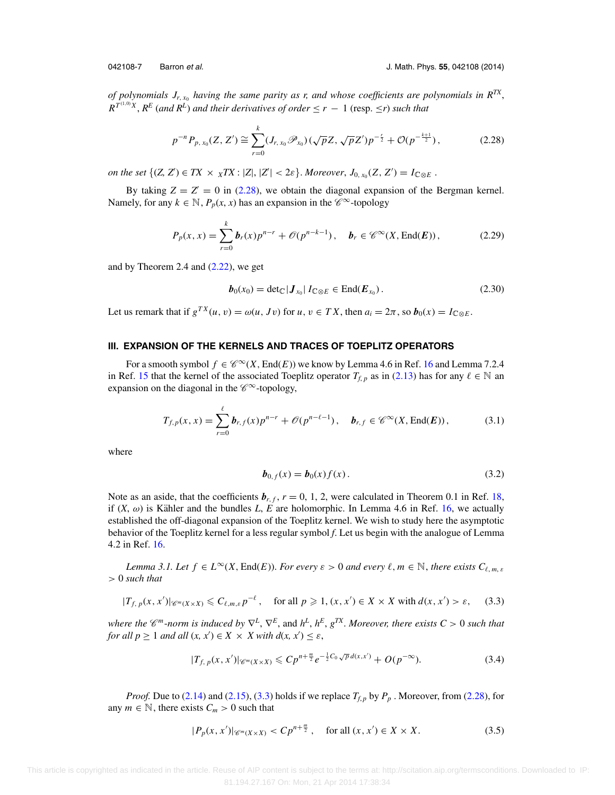<span id="page-6-0"></span>

*of polynomials*  $J_{r, x_0}$  *having the same parity as r, and whose coefficients are polynomials in*  $R^{TX}$ *,*  $R^{T^{(1,0)}X}$ ,  $R^{E}$  (and  $R^{L}$ ) and their derivatives of order  $\leq r - 1$  (resp.  $\leq r$ ) such that

$$
p^{-n}P_{p,x_0}(Z,Z') \cong \sum_{r=0}^k (J_{r,x_0}\mathscr{P}_{x_0})(\sqrt{p}Z,\sqrt{p}Z')p^{-\frac{r}{2}} + \mathcal{O}(p^{-\frac{k+1}{2}}),
$$
 (2.28)

*on the set*  $\{(Z, Z') \in TX \times \ _{X}TX : |Z|, |Z'| < 2\varepsilon\}$ . *Moreover*,  $J_{0, x_{0}}(Z, Z') = I_{\mathbb{C} \otimes E}$ .

By taking  $Z = Z' = 0$  in (2.28), we obtain the diagonal expansion of the Bergman kernel. Namely, for any  $k \in \mathbb{N}$ ,  $P_p(x, x)$  has an expansion in the  $\mathscr{C}^{\infty}$ -topology

$$
P_p(x, x) = \sum_{r=0}^{k} b_r(x) p^{n-r} + \mathcal{O}(p^{n-k-1}), \quad b_r \in \mathcal{C}^{\infty}(X, \text{End}(E)),
$$
 (2.29)

and by Theorem 2.4 and  $(2.22)$ , we get

$$
\boldsymbol{b}_0(x_0) = \det_{\mathbb{C}} |\boldsymbol{J}_{x_0}| I_{\mathbb{C} \otimes E} \in \text{End}(\boldsymbol{E}_{x_0}). \tag{2.30}
$$

Let us remark that if  $g^{TX}(u, v) = \omega(u, Jv)$  for  $u, v \in TX$ , then  $a_i = 2\pi$ , so  $b_0(x) = I_{\mathbb{C} \otimes E}$ .

### **III. EXPANSION OF THE KERNELS AND TRACES OF TOEPLITZ OPERATORS**

For a smooth symbol  $f \in \mathscr{C}^{\infty}(X, \text{End}(E))$  we know by Lemma 4.6 in Ref. [16](#page-24-0) and Lemma 7.2.4 in Ref. [15](#page-24-0) that the kernel of the associated Toeplitz operator  $T_{f,p}$  as in [\(2.13\)](#page-3-0) has for any  $\ell \in \mathbb{N}$  and expansion on the diagonal in the  $\mathscr{C}^{\infty}$ -topology,

$$
T_{f,p}(x,x) = \sum_{r=0}^{\ell} b_{r,f}(x) p^{n-r} + \mathcal{O}(p^{n-\ell-1}), \quad b_{r,f} \in \mathscr{C}^{\infty}(X, \text{End}(E)), \tag{3.1}
$$

where

$$
\bm{b}_{0,f}(x) = \bm{b}_0(x)f(x). \tag{3.2}
$$

Note as an aside, that the coefficients  $b_{r, f}$ ,  $r = 0, 1, 2$ , were calculated in Theorem 0.1 in Ref. [18,](#page-24-0) if  $(X, \omega)$  is Kähler and the bundles L, E are holomorphic. In Lemma 4.6 in Ref. [16,](#page-24-0) we actually established the off-diagonal expansion of the Toeplitz kernel. We wish to study here the asymptotic behavior of the Toeplitz kernel for a less regular symbol *f*. Let us begin with the analogue of Lemma 4.2 in Ref. [16.](#page-24-0)

*Lemma 3.1. Let*  $f \in L^{\infty}(X, \text{End}(E))$ . *For every*  $\varepsilon > 0$  *and every*  $\ell, m \in \mathbb{N}$ , *there exists*  $C_{\ell, m, \varepsilon}$ > 0 *such that*

$$
|T_{f, p}(x, x')| \ll_{\mathfrak{m}(X \times X)} \ll C_{\ell, m, \varepsilon} p^{-\ell}, \quad \text{for all } p \geq 1, (x, x') \in X \times X \text{ with } d(x, x') > \varepsilon,
$$
 (3.3)

*where the*  $\mathscr{C}^m$ -*norm is induced by*  $\nabla^L$ ,  $\nabla^E$ , and  $h^L$ ,  $h^E$ ,  $g^{TX}$ . Moreover, there exists  $C > 0$  such that *for all*  $p \ge 1$  *and all*  $(x, x') \in X \times X$  *with*  $d(x, x') \le \varepsilon$ *,* 

$$
|T_{f, p}(x, x')| \ll_{m(X \times X)} \ll C p^{n + \frac{m}{2}} e^{-\frac{1}{2}C_0 \sqrt{p} d(x, x')} + O(p^{-\infty}). \tag{3.4}
$$

*Proof.* Due to [\(2.14\)](#page-4-0) and [\(2.15\)](#page-4-0), (3.3) holds if we replace  $T_{f,p}$  by  $P_p$ . Moreover, from (2.28), for any  $m \in \mathbb{N}$ , there exists  $C_m > 0$  such that

$$
|P_p(x, x')|_{\mathscr{C}^m(X \times X)} < Cp^{n + \frac{m}{2}}, \quad \text{for all } (x, x') \in X \times X. \tag{3.5}
$$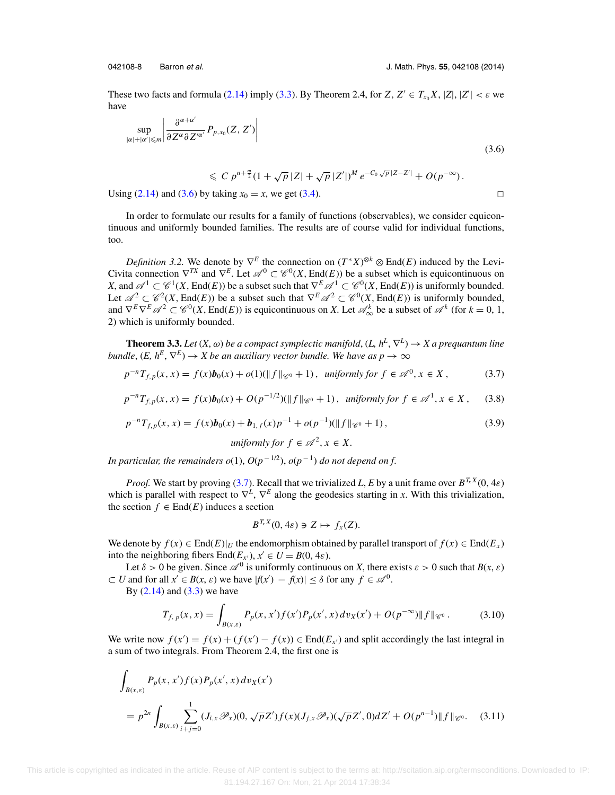<span id="page-7-0"></span>

 $\Box$ 

These two facts and formula [\(2.14\)](#page-4-0) imply [\(3.3\)](#page-6-0). By Theorem 2.4, for  $Z, Z' \in T_{x_0}X, |Z|, |Z'| < \varepsilon$  we have

$$
\sup_{|\alpha|+|\alpha'| \leqslant m} \left| \frac{\partial^{\alpha+\alpha'}}{\partial Z^{\alpha} \partial Z'^{\alpha'}} P_{p,x_0}(Z, Z') \right| \tag{3.6}
$$

$$
\leqslant C p^{n+\frac{m}{2}} (1 + \sqrt{p} |Z| + \sqrt{p} |Z'|)^M e^{-C_0 \sqrt{p} |Z - Z'|} + O(p^{-\infty}).
$$
  
by taking  $x_0 = x$  we get (3.4)

Using  $(2.14)$  and  $(3.6)$  by taking  $x_0 = x$ , we get  $(3.4)$ .

In order to formulate our results for a family of functions (observables), we consider equicontinuous and uniformly bounded families. The results are of course valid for individual functions, too.

*Definition 3.2.* We denote by  $\nabla^E$  the connection on  $(T^*X)^{\otimes k} \otimes \text{End}(E)$  induced by the Levi-Civita connection  $\nabla^{TX}$  and  $\nabla^{E}$ . Let  $\mathscr{A}^{0} \subset \mathscr{C}^{0}(X, \text{End}(E))$  be a subset which is equicontinuous on *X*, and  $\mathscr{A}^1 \subset \mathscr{C}^1(X, \text{End}(E))$  be a subset such that  $\nabla^E \mathscr{A}^1 \subset \mathscr{C}^0(X, \text{End}(E))$  is uniformly bounded. Let  $\mathscr{A}^2 \subset \mathscr{C}^2(X, \text{End}(E))$  be a subset such that  $\nabla^E \mathscr{A}^2 \subset \mathscr{C}^0(X, \text{End}(E))$  is uniformly bounded, and  $\nabla^E \nabla^E \mathscr{A}^2 \subset \mathscr{C}^0(X, \text{End}(E))$  is equicontinuous on X. Let  $\mathscr{A}_{\infty}^k$  be a subset of  $\mathscr{A}^k$  (for  $k = 0, 1,$ 2) which is uniformly bounded.

**Theorem 3.3.** *Let*  $(X, \omega)$  *be a compact symplectic manifold*,  $(L, h^L, \nabla^L) \rightarrow X$  *a prequantum line bundle*,  $(E, h^E, \nabla^E) \rightarrow X$  *be an auxiliary vector bundle. We have as*  $p \rightarrow \infty$ 

$$
p^{-n}T_{f,p}(x,x) = f(x)b_0(x) + o(1)(\|f\|_{\mathcal{C}^0} + 1), \text{ uniformly for } f \in \mathcal{A}^0, x \in X,
$$
 (3.7)

$$
p^{-n}T_{f,p}(x,x) = f(x)b_0(x) + O(p^{-1/2})(\|f\|_{\mathscr{C}^0} + 1), \text{ uniformly for } f \in \mathscr{A}^1, x \in X, \quad (3.8)
$$

$$
p^{-n}T_{f,p}(x,x) = f(x)b_0(x) + b_{1,f}(x)p^{-1} + o(p^{-1})(\|f\|_{\mathscr{C}^0} + 1),
$$
\n(3.9)

$$
uniformly for f \in \mathcal{A}^2, x \in X.
$$

*In particular, the remainders*  $o(1)$ *,*  $O(p^{-1/2})$ *,*  $o(p^{-1})$  *<i>do not depend on f.* 

*Proof.* We start by proving (3.7). Recall that we trivialized *L*, *E* by a unit frame over  $B^{T_x X}(0, 4\varepsilon)$ which is parallel with respect to  $\nabla^L$ ,  $\nabla^E$  along the geodesics starting in *x*. With this trivialization, the section  $f \in End(E)$  induces a section

$$
B^{T_x X}(0, 4\varepsilon) \ni Z \mapsto f_x(Z).
$$

We denote by  $f(x) \in \text{End}(E)|_U$  the endomorphism obtained by parallel transport of  $f(x) \in \text{End}(E_x)$ into the neighboring fibers  $\text{End}(E_{x'})$ ,  $x' \in U = B(0, 4\varepsilon)$ .

Let  $\delta > 0$  be given. Since  $\mathscr{A}^0$  is uniformly continuous on *X*, there exists  $\varepsilon > 0$  such that  $B(x, \varepsilon)$  $\subset U$  and for all  $x' \in B(x, \varepsilon)$  we have  $|f(x') - f(x)| \leq \delta$  for any  $f \in \mathcal{A}^0$ .

By  $(2.14)$  and  $(3.3)$  we have

$$
T_{f, p}(x, x) = \int_{B(x, \varepsilon)} P_p(x, x') f(x') P_p(x', x) dv_X(x') + O(p^{-\infty}) \|f\|_{\mathscr{C}^0}.
$$
 (3.10)

We write now  $f(x') = f(x) + (f(x') - f(x)) \in \text{End}(E_{x'})$  and split accordingly the last integral in a sum of two integrals. From Theorem 2.4, the first one is

$$
\int_{B(x,\varepsilon)} P_p(x,x')f(x)P_p(x',x) dv_X(x')
$$
\n
$$
= p^{2n} \int_{B(x,\varepsilon)} \sum_{i+j=0}^1 (J_{i,x}\mathscr{P}_x)(0,\sqrt{p}Z')f(x)(J_{j,x}\mathscr{P}_x)(\sqrt{p}Z',0)dZ' + O(p^{n-1})||f||_{\mathscr{C}^0}.
$$
\n(3.11)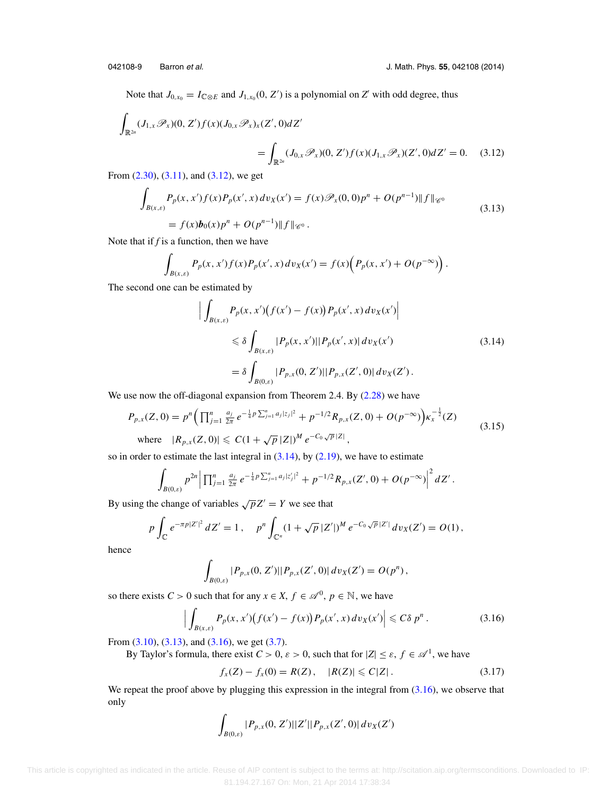<span id="page-8-0"></span>Note that  $J_{0,x_0} = I_{\mathbb{C} \otimes E}$  and  $J_{1,x_0}(0, Z')$  is a polynomial on  $Z'$  with odd degree, thus

$$
\int_{\mathbb{R}^{2n}} (J_{1,x} \mathscr{P}_x)(0, Z') f(x) (J_{0,x} \mathscr{P}_x)_x(Z', 0) dZ'
$$
\n
$$
= \int_{\mathbb{R}^{2n}} (J_{0,x} \mathscr{P}_x)(0, Z') f(x) (J_{1,x} \mathscr{P}_x)(Z', 0) dZ' = 0. \quad (3.12)
$$

From [\(2.30\)](#page-6-0), [\(3.11\)](#page-7-0), and (3.12), we get

$$
\int_{B(x,\varepsilon)} P_p(x,x')f(x)P_p(x',x) dv_X(x') = f(x)\mathcal{P}_x(0,0)p^n + O(p^{n-1})||f||_{\mathscr{C}^0}
$$
\n
$$
= f(x)b_0(x)p^n + O(p^{n-1})||f||_{\mathscr{C}^0}.
$$
\n(3.13)

Note that if *f* is a function, then we have

$$
\int_{B(x,\varepsilon)} P_p(x,x')f(x)P_p(x',x) dv_X(x') = f(x)\Big(P_p(x,x') + O(p^{-\infty})\Big).
$$

The second one can be estimated by

$$
\left| \int_{B(x,\varepsilon)} P_p(x, x') \big( f(x') - f(x) \big) P_p(x', x) \, dv_X(x') \right|
$$
\n
$$
\leq \delta \int_{B(x,\varepsilon)} |P_p(x, x')| |P_p(x', x)| \, dv_X(x')
$$
\n
$$
= \delta \int_{B(0,\varepsilon)} |P_{p,x}(0, Z')| |P_{p,x}(Z', 0)| \, dv_X(Z'). \tag{3.14}
$$

We use now the off-diagonal expansion from Theorem 2.4. By [\(2.28\)](#page-6-0) we have

$$
P_{p,x}(Z,0) = p^{n} \left( \prod_{j=1}^{n} \frac{a_{j}}{2\pi} e^{-\frac{1}{4}p \sum_{j=1}^{n} a_{j} |z_{j}|^{2}} + p^{-1/2} R_{p,x}(Z,0) + O(p^{-\infty}) \right) \kappa_{x}^{-\frac{1}{2}}(Z)
$$
  
where  $|R_{p,x}(Z,0)| \le C(1 + \sqrt{p} |Z|)^{M} e^{-C_0 \sqrt{p} |Z|},$  (3.15)

so in order to estimate the last integral in  $(3.14)$ , by  $(2.19)$ , we have to estimate

$$
\int_{B(0,\varepsilon)} p^{2n} \left| \prod_{j=1}^n \frac{a_j}{2\pi} e^{-\frac{1}{4}p \sum_{j=1}^n a_j |z'_j|^2} + p^{-1/2} R_{p,x}(Z',0) + O(p^{-\infty}) \right|^2 dZ'.
$$

By using the change of variables  $\sqrt{p}Z' = Y$  we see that

$$
p \int_{\mathbb{C}} e^{-\pi p |Z'|^2} dZ' = 1, \quad p^n \int_{\mathbb{C}^n} (1 + \sqrt{p} |Z'|)^M e^{-C_0 \sqrt{p} |Z'|} dv_X(Z') = O(1),
$$

hence

$$
\int_{B(0,\varepsilon)} |P_{p,x}(0,Z')||P_{p,x}(Z',0)|\,dv_X(Z')=O(p^n)\,,
$$

so there exists  $C > 0$  such that for any  $x \in X$ ,  $f \in \mathcal{A}^0$ ,  $p \in \mathbb{N}$ , we have

$$
\left| \int_{B(x,\varepsilon)} P_p(x,x') \big( f(x') - f(x) \big) P_p(x',x) \, dv_X(x') \right| \leq C \delta \, p^n \,. \tag{3.16}
$$

From  $(3.10)$ ,  $(3.13)$ , and  $(3.16)$ , we get  $(3.7)$ .

By Taylor's formula, there exist  $C > 0$ ,  $\varepsilon > 0$ , such that for  $|Z| \le \varepsilon$ ,  $f \in \mathcal{A}^1$ , we have

$$
f_x(Z) - f_x(0) = R(Z), \quad |R(Z)| \leq C|Z|.
$$
 (3.17)

We repeat the proof above by plugging this expression in the integral from  $(3.16)$ , we observe that only

$$
\int_{B(0,\varepsilon)}|P_{p,x}(0,Z')||Z'||P_{p,x}(Z',0)|\,dv_X(Z')
$$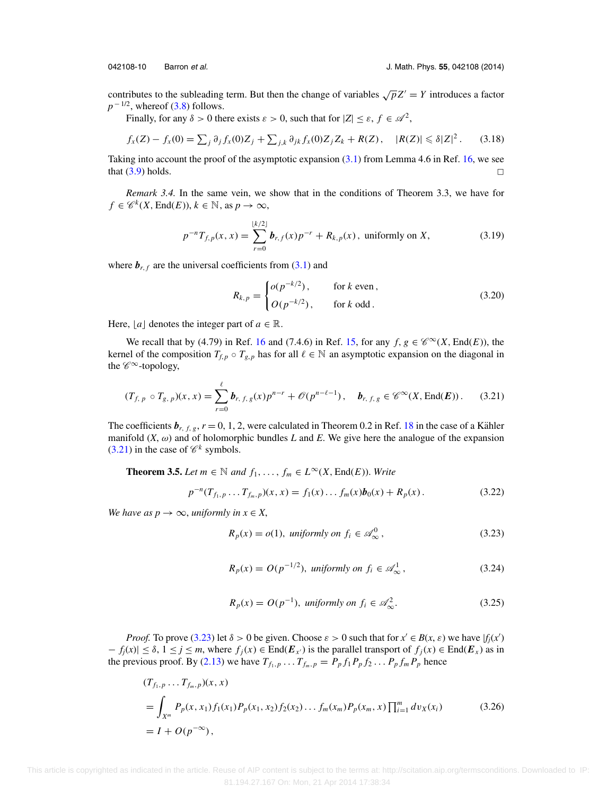<span id="page-9-0"></span>

contributes to the subleading term. But then the change of variables  $\sqrt{p}Z' = Y$  introduces a factor  $p^{-1/2}$ , whereof [\(3.8\)](#page-7-0) follows.

Finally, for any  $\delta > 0$  there exists  $\varepsilon > 0$ , such that for  $|Z| \leq \varepsilon$ ,  $f \in \mathcal{A}^2$ ,

$$
f_x(Z) - f_x(0) = \sum_j \partial_j f_x(0) Z_j + \sum_{j,k} \partial_{jk} f_x(0) Z_j Z_k + R(Z), \quad |R(Z)| \leq \delta |Z|^2. \tag{3.18}
$$

Taking into account the proof of the asymptotic expansion  $(3.1)$  from Lemma 4.6 in Ref. [16,](#page-24-0) we see that  $(3.9)$  holds.  $\square$ 

*Remark 3.4.* In the same vein, we show that in the conditions of Theorem 3.3, we have for  $f \in \mathscr{C}^k(X, \text{End}(E)), k \in \mathbb{N}$ , as  $p \to \infty$ ,

$$
p^{-n}T_{f,p}(x,x) = \sum_{r=0}^{\lfloor k/2 \rfloor} b_{r,f}(x) p^{-r} + R_{k,p}(x), \text{ uniformly on } X,
$$
 (3.19)

where  $\mathbf{b}_{r,f}$  are the universal coefficients from [\(3.1\)](#page-6-0) and

$$
R_{k,p} = \begin{cases} o(p^{-k/2}), & \text{for } k \text{ even}, \\ O(p^{-k/2}), & \text{for } k \text{ odd}. \end{cases}
$$
 (3.20)

Here,  $[a]$  denotes the integer part of  $a \in \mathbb{R}$ .

We recall that by (4.79) in Ref. [16](#page-24-0) and (7.4.6) in Ref. [15,](#page-24-0) for any  $f, g \in \mathscr{C}^{\infty}(X, \text{End}(E))$ , the kernel of the composition  $T_{f,p} \circ T_{g,p}$  has for all  $\ell \in \mathbb{N}$  an asymptotic expansion on the diagonal in the  $\mathscr{C}^{\infty}$ -topology,

$$
(T_{f, p} \circ T_{g, p})(x, x) = \sum_{r=0}^{\ell} b_{r, f, g}(x) p^{n-r} + \mathcal{O}(p^{n-\ell-1}), \quad b_{r, f, g} \in \mathscr{C}^{\infty}(X, \text{End}(E)). \tag{3.21}
$$

The coefficients  $b_{r, f, g}$ ,  $r = 0, 1, 2$ , were calculated in Theorem 0.2 in Ref. [18](#page-24-0) in the case of a Kähler manifold  $(X, \omega)$  and of holomorphic bundles *L* and *E*. We give here the analogue of the expansion  $(3.21)$  in the case of  $\mathcal{C}^k$  symbols.

**Theorem 3.5.** *Let*  $m \in \mathbb{N}$  *and*  $f_1, \ldots, f_m \in L^\infty(X, \text{End}(E))$ *. Write* 

$$
p^{-n}(T_{f_1,p}\ldots T_{f_m,p})(x,x) = f_1(x)\ldots f_m(x)b_0(x) + R_p(x).
$$
 (3.22)

*We have as*  $p \rightarrow \infty$ *, uniformly in*  $x \in X$ ,

$$
R_p(x) = o(1), \text{ uniformly on } f_i \in \mathscr{A}_{\infty}^0,
$$
\n(3.23)

$$
R_p(x) = O(p^{-1/2}), \text{ uniformly on } f_i \in \mathcal{A}_{\infty}^1,
$$
\n(3.24)

$$
R_p(x) = O(p^{-1}), \text{ uniformly on } f_i \in \mathcal{A}_{\infty}^2.
$$
 (3.25)

*Proof.* To prove (3.23) let  $\delta > 0$  be given. Choose  $\varepsilon > 0$  such that for  $x' \in B(x, \varepsilon)$  we have  $|f_j(x')|$  $f_j(x) \leq \delta$ ,  $1 \leq j \leq m$ , where  $f_j(x) \in \text{End}(E_{x'})$  is the parallel transport of  $f_j(x) \in \text{End}(E_x)$  as in the previous proof. By [\(2.13\)](#page-3-0) we have  $T_{f_1, p}$ ...  $T_{f_m, p} = P_p f_1 P_p f_2 \dots P_p f_m P_p$  hence

$$
(T_{f_1, p} \dots T_{f_m, p})(x, x)
$$
  
=  $\int_{X^m} P_p(x, x_1) f_1(x_1) P_p(x_1, x_2) f_2(x_2) \dots f_m(x_m) P_p(x_m, x) \prod_{i=1}^m dv_x(x_i)$  (3.26)  
=  $I + O(p^{-\infty})$ ,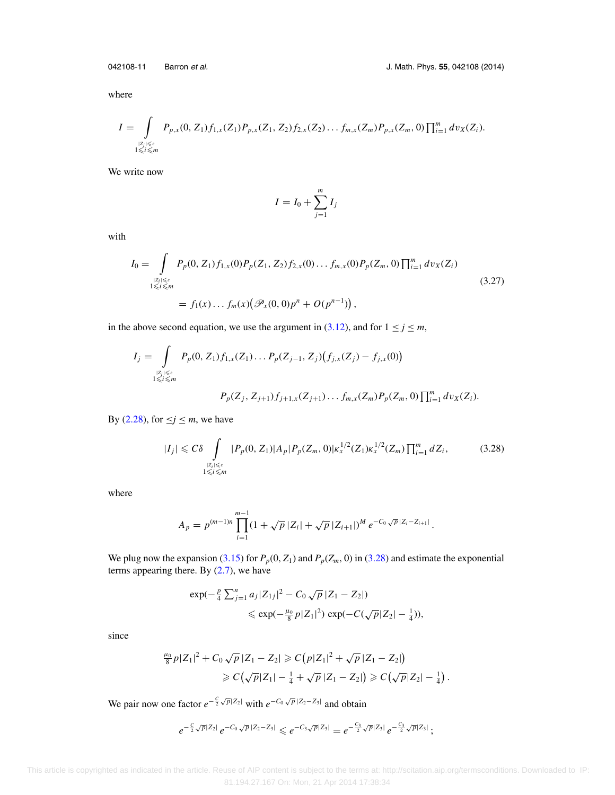<span id="page-10-0"></span>

where

$$
I = \int_{\substack{|Z_i| \leq \varepsilon \\ 1 \leq i \leq m}} P_{p,x}(0,Z_1) f_{1,x}(Z_1) P_{p,x}(Z_1,Z_2) f_{2,x}(Z_2) \dots f_{m,x}(Z_m) P_{p,x}(Z_m,0) \prod_{i=1}^m dv_X(Z_i).
$$

We write now

$$
I = I_0 + \sum_{j=1}^{m} I_j
$$

with

$$
I_0 = \int_{\substack{|Z_i| \le \varepsilon \\ 1 \le i \le m}} P_p(0, Z_1) f_{1,x}(0) P_p(Z_1, Z_2) f_{2,x}(0) \dots f_{m,x}(0) P_p(Z_m, 0) \prod_{i=1}^m dv_X(Z_i)
$$
  
=  $f_1(x) \dots f_m(x) (\mathcal{P}_x(0, 0) p^n + O(p^{n-1})),$  (3.27)

in the above second equation, we use the argument in [\(3.12\)](#page-8-0), and for  $1 \le j \le m$ ,

$$
I_j = \int_{\substack{|Z_i| \leq \varepsilon \\ 1 \leq i \leq m}} P_p(0, Z_1) f_{1,x}(Z_1) \dots P_p(Z_{j-1}, Z_j) (f_{j,x}(Z_j) - f_{j,x}(0))
$$
  

$$
P_p(Z_j, Z_{j+1}) f_{j+1,x}(Z_{j+1}) \dots f_{m,x}(Z_m) P_p(Z_m, 0) \prod_{i=1}^m dv_X(Z_i).
$$

By [\(2.28\)](#page-6-0), for  $\leq j \leq m$ , we have

$$
|I_j| \leq C\delta \int\limits_{\substack{|Z_i| \leq \varepsilon \\ 1 \leq i \leq m}} |P_p(0, Z_1)| A_p |P_p(Z_m, 0)| \kappa_x^{1/2}(Z_1) \kappa_x^{1/2}(Z_m) \prod_{i=1}^m dZ_i, \tag{3.28}
$$

where

$$
A_p = p^{(m-1)n} \prod_{i=1}^{m-1} (1 + \sqrt{p} |Z_i| + \sqrt{p} |Z_{i+1}|)^M e^{-C_0 \sqrt{p} |Z_i - Z_{i+1}|}.
$$

We plug now the expansion [\(3.15\)](#page-8-0) for  $P_p(0, Z_1)$  and  $P_p(Z_m, 0)$  in (3.28) and estimate the exponential terms appearing there. By  $(2.7)$ , we have

$$
\exp(-\frac{p}{4}\sum_{j=1}^{n}a_j|Z_{1j}|^2-C_0\sqrt{p}|Z_1-Z_2|)
$$
  
\$\leq\$ 
$$
\exp(-\frac{\mu_0}{8}p|Z_1|^2) \exp(-C(\sqrt{p}|Z_2|-\frac{1}{4})),
$$

since

$$
\frac{\mu_0}{8} p |Z_1|^2 + C_0 \sqrt{p} |Z_1 - Z_2| \geqslant C (p |Z_1|^2 + \sqrt{p} |Z_1 - Z_2|)
$$
  
\$\geqslant C(\sqrt{p}|Z\_1| - \frac{1}{4} + \sqrt{p} |Z\_1 - Z\_2|) \geqslant C(\sqrt{p}|Z\_2| - \frac{1}{4}).

We pair now one factor  $e^{-\frac{C}{2}\sqrt{p}|Z_2|}$  with  $e^{-C_0\sqrt{p}|Z_2-Z_3|}$  and obtain

$$
e^{-\frac{C}{2}\sqrt{p}|Z_2|} e^{-C_0\sqrt{p}|Z_2-Z_3|} \leqslant e^{-C_3\sqrt{p}|Z_3|} = e^{-\frac{C_3}{2}\sqrt{p}|Z_3|} e^{-\frac{C_3}{2}\sqrt{p}|Z_3|};
$$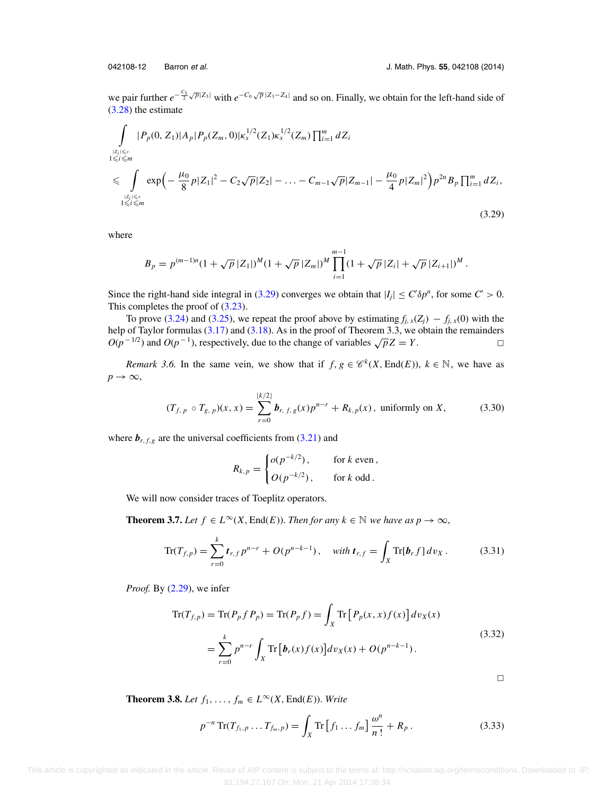<span id="page-11-0"></span>

we pair further  $e^{-\frac{C_3}{2}\sqrt{p}|Z_3|}$  with  $e^{-C_0\sqrt{p}|Z_3-Z_4|}$  and so on. Finally, we obtain for the left-hand side of [\(3.28\)](#page-10-0) the estimate

$$
\int_{\substack{|Z_i| \leq \varepsilon \\ 1 \leq i \leq m}} |P_p(0, Z_1)| A_p |P_p(Z_m, 0)| \kappa_x^{1/2}(Z_1) \kappa_x^{1/2}(Z_m) \prod_{i=1}^m dZ_i
$$
\n
$$
\leqslant \int_{\substack{|Z_i| \leq \varepsilon \\ 1 \leqslant i \leqslant m}} \exp\left(-\frac{\mu_0}{8} p |Z_1|^2 - C_2 \sqrt{p} |Z_2| - \dots - C_{m-1} \sqrt{p} |Z_{m-1}| - \frac{\mu_0}{4} p |Z_m|^2\right) p^{2n} B_p \prod_{i=1}^m dZ_i,
$$
\n(3.29)

where

$$
B_p = p^{(m-1)n} (1 + \sqrt{p} |Z_1|)^M (1 + \sqrt{p} |Z_m|)^M \prod_{i=1}^{m-1} (1 + \sqrt{p} |Z_i| + \sqrt{p} |Z_{i+1}|)^M.
$$

Since the right-hand side integral in (3.29) converges we obtain that  $|I_j| \le C' \delta p^n$ , for some  $C' > 0$ . This completes the proof of  $(3.23)$ .

To prove [\(3.24\)](#page-9-0) and [\(3.25\)](#page-9-0), we repeat the proof above by estimating  $f_{j,x}(Z_j) - f_{j,x}(0)$  with the help of Taylor formulas [\(3.17\)](#page-8-0) and [\(3.18\)](#page-9-0). As in the proof of Theorem 3.3, we obtain the remainders  $O(p^{-1/2})$  and  $O(p^{-1})$ , respectively, due to the change of variables  $\sqrt{p}Z = Y$ .  $\Box$ 

*Remark 3.6.* In the same vein, we show that if  $f, g \in \mathcal{C}^k(X, \text{End}(E)), k \in \mathbb{N}$ , we have as  $p \rightarrow \infty$ ,

$$
(T_{f, p} \circ T_{g, p})(x, x) = \sum_{r=0}^{\lfloor k/2 \rfloor} b_{r, f, g}(x) p^{n-r} + R_{k, p}(x), \text{ uniformly on } X,
$$
 (3.30)

where  $\mathbf{b}_{r, f, g}$  are the universal coefficients from [\(3.21\)](#page-9-0) and

$$
R_{k,p} = \begin{cases} o(p^{-k/2}), & \text{for } k \text{ even}, \\ O(p^{-k/2}), & \text{for } k \text{ odd}. \end{cases}
$$

We will now consider traces of Toeplitz operators.

**Theorem 3.7.** *Let*  $f \in L^{\infty}(X, \text{End}(E))$ . *Then for any*  $k \in \mathbb{N}$  *we have as*  $p \to \infty$ ,

$$
\text{Tr}(T_{f,p}) = \sum_{r=0}^{k} t_{r,f} p^{n-r} + O(p^{n-k-1}), \quad \text{with } t_{r,f} = \int_{X} \text{Tr}[b_r f] dv_X. \tag{3.31}
$$

*Proof.* By [\(2.29\)](#page-6-0), we infer

$$
\operatorname{Tr}(T_{f,p}) = \operatorname{Tr}(P_p f P_p) = \operatorname{Tr}(P_p f) = \int_X \operatorname{Tr}\left[P_p(x, x) f(x)\right] dv_X(x)
$$
  
= 
$$
\sum_{r=0}^k p^{n-r} \int_X \operatorname{Tr}\left[\boldsymbol{b}_r(x) f(x)\right] dv_X(x) + O(p^{n-k-1}).
$$
 (3.32)

 $\overline{\phantom{0}}$ 

**Theorem 3.8.** *Let*  $f_1, \ldots, f_m \in L^\infty(X, \text{End}(E))$ . *Write* 

$$
p^{-n} \operatorname{Tr}(T_{f_1, p} \dots T_{f_m, p}) = \int_X \operatorname{Tr} \left[ f_1 \dots f_m \right] \frac{\omega^n}{n!} + R_p \,. \tag{3.33}
$$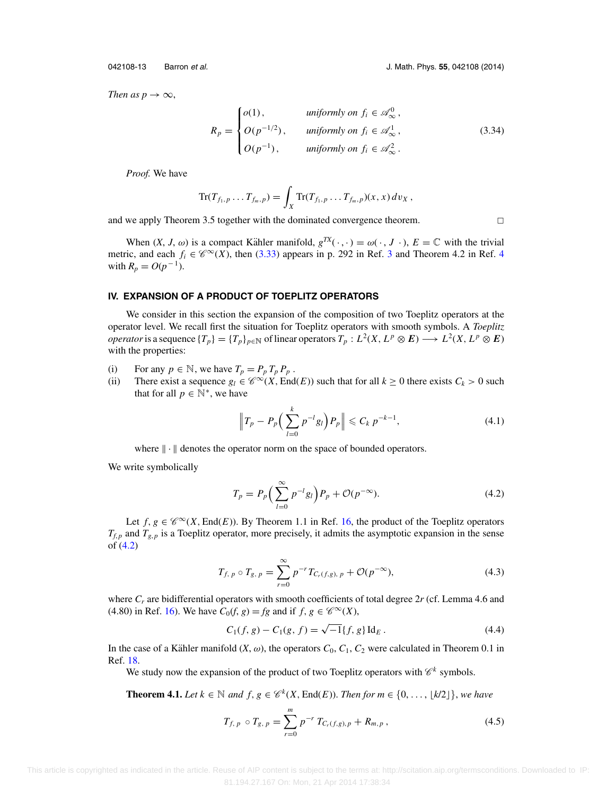<span id="page-12-0"></span>042108-13 Barron et al. J. Math. Phys. **55**, 042108 (2014)

 $\Box$ 

*Then as p*  $\rightarrow \infty$ ,

$$
R_p = \begin{cases} o(1), & \text{uniformly on } f_i \in \mathcal{A}_{\infty}^0, \\ O(p^{-1/2}), & \text{uniformly on } f_i \in \mathcal{A}_{\infty}^1, \\ O(p^{-1}), & \text{uniformly on } f_i \in \mathcal{A}_{\infty}^2. \end{cases} \tag{3.34}
$$

*Proof.* We have

$$
\text{Tr}(T_{f_1,p}\ldots T_{f_m,p})=\int_X \text{Tr}(T_{f_1,p}\ldots T_{f_m,p})(x,x)\,dv_X\,,
$$

and we apply Theorem 3.5 together with the dominated convergence theorem.

When  $(X, J, \omega)$  is a compact Kähler manifold,  $g^{TX}(\cdot, \cdot) = \omega(\cdot, J \cdot)$ ,  $E = \mathbb{C}$  with the trivial metric, and each  $f_i \in \mathscr{C}^{\infty}(X)$ , then [\(3.33\)](#page-11-0) appears in p. 292 in Ref. [3](#page-24-0) and Theorem [4](#page-24-0).2 in Ref. 4 with  $R_p = O(p^{-1})$ .

### **IV. EXPANSION OF A PRODUCT OF TOEPLITZ OPERATORS**

We consider in this section the expansion of the composition of two Toeplitz operators at the operator level. We recall first the situation for Toeplitz operators with smooth symbols. A *Toeplitz operator* is a sequence  $\{T_p\}=\{T_p\}_{p\in\mathbb{N}}$  of linear operators  $T_p: L^2(X, L^p \otimes E) \longrightarrow L^2(X, L^p \otimes E)$ with the properties:

- (i) For any  $p \in \mathbb{N}$ , we have  $T_p = P_p T_p P_p$ .
- (ii) There exist a sequence  $g_l \in \mathcal{C}^{\infty}(X, \text{End}(E))$  such that for all  $k \ge 0$  there exists  $C_k > 0$  such that for all  $p \in \mathbb{N}^*$ , we have

$$
\left\|T_p - P_p\left(\sum_{l=0}^k p^{-l} g_l\right) P_p\right\| \leqslant C_k \, p^{-k-1},\tag{4.1}
$$

where  $\|\cdot\|$  denotes the operator norm on the space of bounded operators.

We write symbolically

$$
T_p = P_p \left( \sum_{l=0}^{\infty} p^{-l} g_l \right) P_p + \mathcal{O}(p^{-\infty}). \tag{4.2}
$$

Let  $f, g \in \mathscr{C}^{\infty}(X, \text{End}(E))$ . By Theorem 1.1 in Ref. [16,](#page-24-0) the product of the Toeplitz operators  $T_{f,p}$  and  $T_{g,p}$  is a Toeplitz operator, more precisely, it admits the asymptotic expansion in the sense of (4.2)

$$
T_{f, p} \circ T_{g, p} = \sum_{r=0}^{\infty} p^{-r} T_{C_r(f, g), p} + \mathcal{O}(p^{-\infty}),
$$
\n(4.3)

where  $C_r$  are bidifferential operators with smooth coefficients of total degree 2r (cf. Lemma 4.6 and (4.80) in Ref. [16\)](#page-24-0). We have  $C_0(f, g) = fg$  and if  $f, g \in \mathscr{C}^{\infty}(X)$ ,

$$
C_1(f, g) - C_1(g, f) = \sqrt{-1} \{f, g\} \operatorname{Id}_E.
$$
 (4.4)

In the case of a Kähler manifold  $(X, \omega)$ , the operators  $C_0$ ,  $C_1$ ,  $C_2$  were calculated in Theorem 0.1 in Ref. [18.](#page-24-0)

We study now the expansion of the product of two Toeplitz operators with  $\mathscr{C}^k$  symbols.

**Theorem 4.1.** *Let*  $k \in \mathbb{N}$  *and*  $f, g \in \mathcal{C}^k(X, \text{End}(E))$ *. Then for*  $m \in \{0, \ldots, \lfloor k/2 \rfloor\}$ *, we have* 

$$
T_{f, p} \circ T_{g, p} = \sum_{r=0}^{m} p^{-r} T_{C_r(f, g), p} + R_{m, p}, \qquad (4.5)
$$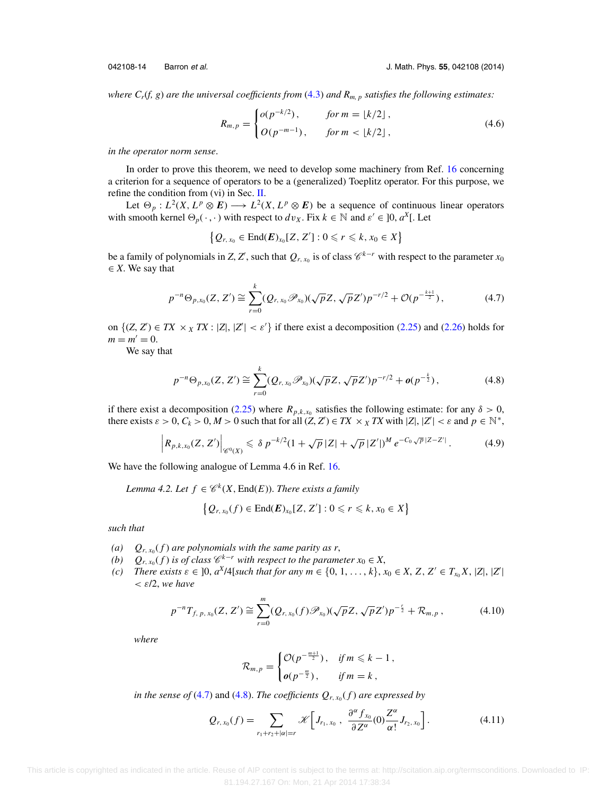<span id="page-13-0"></span>

*where Cr*(*f, g*) *are the universal coefficients from* [\(4.3\)](#page-12-0) *and Rm, p satisfies the following estimates:*

$$
R_{m,p} = \begin{cases} o(p^{-k/2}), & \text{for } m = \lfloor k/2 \rfloor, \\ O(p^{-m-1}), & \text{for } m < \lfloor k/2 \rfloor, \end{cases} \tag{4.6}
$$

*in the operator norm sense*.

In order to prove this theorem, we need to develop some machinery from Ref. [16](#page-24-0) concerning a criterion for a sequence of operators to be a (generalized) Toeplitz operator. For this purpose, we refine the condition from (vi) in Sec. [II.](#page-1-0)

Let  $\Theta_p : L^2(X, L^p \otimes E) \longrightarrow L^2(X, L^p \otimes E)$  be a sequence of continuous linear operators with smooth kernel  $\Theta_p(\cdot, \cdot)$  with respect to  $dv_X$ . Fix  $k \in \mathbb{N}$  and  $\varepsilon' \in ]0, a^X[$ . Let

$$
\big\{Q_{r,x_0}\in \text{End}(\boldsymbol{E})_{x_0}[Z,Z'] : 0\leqslant r\leqslant k, x_0\in X\big\}
$$

be a family of polynomials in *Z*, *Z'*, such that  $Q_{r, x_0}$  is of class  $\mathscr{C}^{k-r}$  with respect to the parameter  $x_0$  $\in$  *X*. We say that

$$
p^{-n}\Theta_{p,x_0}(Z,Z') \cong \sum_{r=0}^k (Q_{r,x_0}\mathscr{P}_{x_0})(\sqrt{p}Z,\sqrt{p}Z')p^{-r/2} + \mathcal{O}(p^{-\frac{k+1}{2}}), \qquad (4.7)
$$

on  $\{(Z, Z') \in TX \times_X TX : |Z|, |Z'| < \varepsilon'\}$  if there exist a decomposition [\(2.25\)](#page-5-0) and [\(2.26\)](#page-5-0) holds for  $m = m' = 0.$ 

We say that

$$
p^{-n}\Theta_{p,x_0}(Z,Z') \cong \sum_{r=0}^k (Q_{r,x_0}\mathscr{P}_{x_0})(\sqrt{p}Z,\sqrt{p}Z')p^{-r/2} + o(p^{-\frac{k}{2}}), \qquad (4.8)
$$

if there exist a decomposition [\(2.25\)](#page-5-0) where  $R_{p,k,x_0}$  satisfies the following estimate: for any  $\delta > 0$ , there exists  $\varepsilon > 0$ ,  $C_k > 0$ ,  $M > 0$  such that for all  $(Z, Z') \in TX \times_X TX$  with  $|Z|, |Z'| < \varepsilon$  and  $p \in \mathbb{N}^*$ ,

$$
\left|R_{p,k,x_0}(Z,Z')\right|_{\mathscr{C}^0(X)} \leq \delta p^{-k/2} (1+\sqrt{p}|Z|+\sqrt{p}|Z'|)^M e^{-C_0\sqrt{p}|Z-Z'|}.
$$
 (4.9)

We have the following analogue of Lemma 4.6 in Ref. [16.](#page-24-0)

*Lemma 4.2. Let*  $f \in \mathcal{C}^k(X, \text{End}(E))$ *. There exists a family* 

$$
\big\{Q_{r,x_0}(f)\in \mathrm{End}(\boldsymbol{E})_{x_0}[Z,Z'] : 0\leqslant r\leqslant k, x_0\in X\big\}
$$

*such that*

- *(a)*  $Q_{r, x_0}(f)$  *are polynomials with the same parity as r,*
- *(b)*  $Q_{r, x_0}(f)$  *is of class*  $\mathscr{C}^{k-r}$  *with respect to the parameter*  $x_0 \in X$ ,
- *(c) There exists*  $\varepsilon \in ]0, a^X/4[$ *such that for any*  $m \in \{0, 1, ..., k\}, x_0 \in X, Z, Z' \in T_{x_0}X, |Z|, |Z'|$ < ε/2, *we have*

$$
p^{-n}T_{f, p, x_0}(Z, Z') \cong \sum_{r=0}^{m} (Q_{r, x_0}(f) \mathscr{P}_{x_0})(\sqrt{p}Z, \sqrt{p}Z')p^{-\frac{r}{2}} + \mathcal{R}_{m, p}, \qquad (4.10)
$$

*where*

$$
\mathcal{R}_{m,p} = \begin{cases} \mathcal{O}(p^{-\frac{m+1}{2}}), & \text{if } m \leq k-1, \\ o(p^{-\frac{m}{2}}), & \text{if } m = k, \end{cases}
$$

*in the sense of* (4.7) and (4.8). *The coefficients*  $Q_{r, x_0}(f)$  *are expressed by* 

$$
Q_{r,x_0}(f) = \sum_{r_1+r_2+|\alpha|=r} \mathscr{K} \left[ J_{r_1,x_0} , \ \frac{\partial^{\alpha} f_{x_0}}{\partial Z^{\alpha}}(0) \frac{Z^{\alpha}}{\alpha!} J_{r_2,x_0} \right]. \tag{4.11}
$$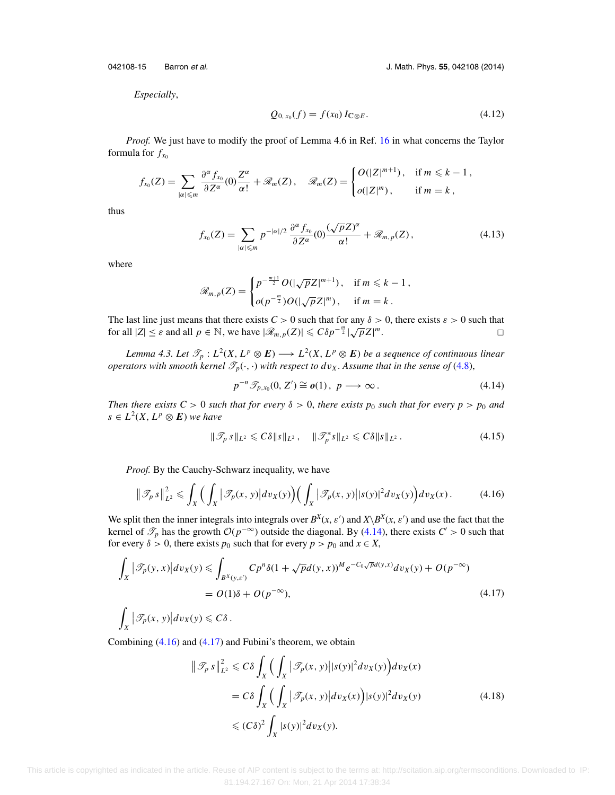<span id="page-14-0"></span>042108-15 Barron et al. J. Math. Phys. **55**, 042108 (2014)

*Especially*,

$$
Q_{0, x_0}(f) = f(x_0) I_{\mathbb{C} \otimes E}.
$$
\n(4.12)

*Proof.* We just have to modify the proof of Lemma 4.6 in Ref. [16](#page-24-0) in what concerns the Taylor formula for  $f_{x_0}$ 

$$
f_{x_0}(Z) = \sum_{|\alpha| \leqslant m} \frac{\partial^{\alpha} f_{x_0}}{\partial Z^{\alpha}}(0) \frac{Z^{\alpha}}{\alpha!} + \mathcal{R}_m(Z), \quad \mathcal{R}_m(Z) = \begin{cases} O(|Z|^{m+1}), & \text{if } m \leqslant k-1, \\ o(|Z|^m), & \text{if } m = k, \end{cases}
$$

thus

$$
f_{x_0}(Z) = \sum_{|\alpha| \leqslant m} p^{-|\alpha|/2} \frac{\partial^{\alpha} f_{x_0}}{\partial Z^{\alpha}}(0) \frac{(\sqrt{p}Z)^{\alpha}}{\alpha!} + \mathcal{R}_{m,p}(Z), \qquad (4.13)
$$

where

$$
\mathscr{R}_{m,p}(Z) = \begin{cases} p^{-\frac{m+1}{2}} O(|\sqrt{p}Z|^{m+1}), & \text{if } m \leq k-1, \\ o(p^{-\frac{m}{2}}) O(|\sqrt{p}Z|^m), & \text{if } m = k. \end{cases}
$$

The last line just means that there exists  $C > 0$  such that for any  $\delta > 0$ , there exists  $\varepsilon > 0$  such that for all  $|Z| \leq \varepsilon$  and all  $p \in \mathbb{N}$ , we have  $|\mathcal{R}_{m,p}(Z)| \leq C\delta p^{-\frac{m}{2}} |\sqrt{p}Z|$ *m*. □  $\Box$ 

*Lemma 4.3. Let*  $\mathcal{T}_p : L^2(X, L^p \otimes E) \longrightarrow L^2(X, L^p \otimes E)$  *be a sequence of continuous linear operators with smooth kernel*  $\mathcal{T}_p(\cdot, \cdot)$  *with respect to dv<sub>X</sub>*. Assume that in the sense of [\(4.8\)](#page-13-0),

$$
p^{-n}\mathcal{F}_{p,x_0}(0,Z')\cong o(1),\ p\longrightarrow\infty.
$$
 (4.14)

*Then there exists C > 0 such that for every*  $\delta$  > 0, *there exists p<sub>0</sub> such that for every p >*  $p_0$  *and*  $s \in L^2(X, L^p \otimes E)$  *we have* 

$$
\|\mathcal{T}_p s\|_{L^2} \leq C\delta \|s\|_{L^2}, \quad \|\mathcal{T}_p^* s\|_{L^2} \leq C\delta \|s\|_{L^2}.
$$
 (4.15)

*Proof.* By the Cauchy-Schwarz inequality, we have

$$
\|\mathcal{F}_p s\|_{L^2}^2 \leqslant \int_X \Big(\int_X |\mathcal{F}_p(x,y)| dv_X(y)\Big) \Big(\int_X |\mathcal{F}_p(x,y)| |s(y)|^2 dv_X(y)\Big) dv_X(x). \tag{4.16}
$$

We split then the inner integrals into integrals over  $B^X(x, \varepsilon')$  and  $X\setminus B^X(x, \varepsilon')$  and use the fact that the kernel of  $\mathcal{I}_p$  has the growth  $\mathcal{O}(p^{-\infty})$  outside the diagonal. By (4.14), there exists  $C' > 0$  such that for every  $\delta > 0$ , there exists  $p_0$  such that for every  $p > p_0$  and  $x \in X$ ,

$$
\int_{X} |\mathcal{T}_{p}(y,x)| dv_X(y) \leq \int_{B^X(y,\varepsilon')} C p^n \delta(1+\sqrt{p}d(y,x))^M e^{-C_0\sqrt{p}d(y,x)} dv_X(y) + O(p^{-\infty})
$$
\n
$$
= O(1)\delta + O(p^{-\infty}), \tag{4.17}
$$

$$
\int_X \big|\mathscr{T}_p(x,\,y)\big|dv_X(y)\leqslant C\delta\,.
$$

Combining  $(4.16)$  and  $(4.17)$  and Fubini's theorem, we obtain

$$
\|\mathcal{T}_p s\|_{L^2}^2 \leq C\delta \int_X \Big(\int_X |\mathcal{T}_p(x, y)| |s(y)|^2 dv_X(y)\Big) dv_X(x)
$$
  
=  $C\delta \int_X \Big(\int_X |\mathcal{T}_p(x, y)| dv_X(x)\Big) |s(y)|^2 dv_X(y)$   
 $\leq (C\delta)^2 \int_X |s(y)|^2 dv_X(y).$  (4.18)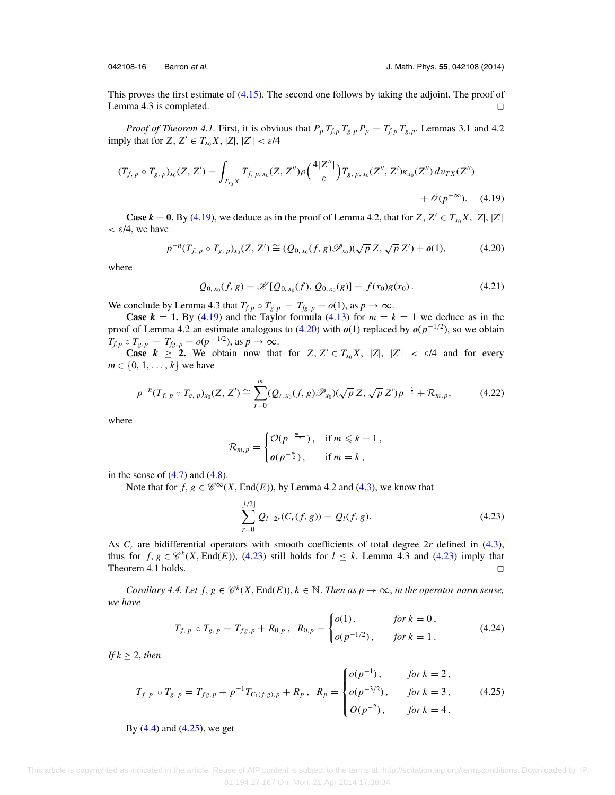<span id="page-15-0"></span>

This proves the first estimate of [\(4.15\)](#page-14-0). The second one follows by taking the adjoint. The proof of Lemma 4.3 is completed.  $\Box$ 

*Proof of Theorem 4.1.* First, it is obvious that  $P_p T_{f,p} T_{g,p} P_p = T_{f,p} T_{g,p}$ . Lemmas 3.1 and 4.2 imply that for  $Z, Z' \in T_{x_0}X, |Z|, |Z'| < \varepsilon/4$ 

$$
(T_{f, p} \circ T_{g, p})_{x_0}(Z, Z') = \int_{T_{x_0}X} T_{f, p, x_0}(Z, Z'') \rho\left(\frac{4|Z''|}{\varepsilon}\right) T_{g, p, x_0}(Z'', Z') \kappa_{x_0}(Z'') \, dv_{TX}(Z'') + \mathcal{O}(p^{-\infty}). \tag{4.19}
$$

**Case**  $k = 0$ . By (4.19), we deduce as in the proof of Lemma 4.2, that for  $Z, Z' \in T_{x_0}X, |Z|, |Z'|$  $\epsilon$  /4, we have

$$
p^{-n}(T_{f, p} \circ T_{g, p})_{x_0}(Z, Z') \cong (Q_{0, x_0}(f, g) \mathscr{P}_{x_0})(\sqrt{p} Z, \sqrt{p} Z') + o(1),
$$
 (4.20)

where

$$
Q_{0,x_0}(f,g) = \mathcal{K}[Q_{0,x_0}(f), Q_{0,x_0}(g)] = f(x_0)g(x_0).
$$
 (4.21)

We conclude by Lemma 4.3 that  $T_{f,p} \circ T_{g,p} - T_{fg,p} = o(1)$ , as  $p \to \infty$ .

**Case**  $k = 1$ . By (4.19) and the Taylor formula [\(4.13\)](#page-14-0) for  $m = k = 1$  we deduce as in the proof of Lemma 4.2 an estimate analogous to (4.20) with *o*(1) replaced by *o*(*p*−1/2), so we obtain  $T_{f,p} \circ T_{g,p} - T_{fg,p} = o(p^{-1/2}), \text{ as } p \to \infty.$ 

**Case**  $k \geq 2$ . We obtain now that for  $Z, Z' \in T_{x_0}X, |Z|, |Z'| < \varepsilon/4$  and for every *m*  $\in \{0, 1, \ldots, k\}$  we have

$$
p^{-n}(T_{f, p} \circ T_{g, p})_{x_0}(Z, Z') \cong \sum_{r=0}^{m} (Q_{r, x_0}(f, g) \mathscr{P}_{x_0})(\sqrt{p} Z, \sqrt{p} Z') p^{-\frac{r}{2}} + \mathcal{R}_{m, p},
$$
 (4.22)

where

$$
\mathcal{R}_{m,p} = \begin{cases} \mathcal{O}(p^{-\frac{m+1}{2}}), & \text{if } m \leq k-1, \\ o(p^{-\frac{m}{2}}), & \text{if } m = k, \end{cases}
$$

in the sense of  $(4.7)$  and  $(4.8)$ .

Note that for  $f, g \in \mathscr{C}^{\infty}(X, \text{End}(E))$ , by Lemma 4.2 and [\(4.3\)](#page-12-0), we know that

$$
\sum_{r=0}^{\lfloor l/2 \rfloor} Q_{l-2r}(C_r(f,g)) = Q_l(f,g). \tag{4.23}
$$

As *Cr* are bidifferential operators with smooth coefficients of total degree 2*r* defined in [\(4.3\)](#page-12-0), thus for  $f, g \in \mathcal{C}^k(X, \text{End}(E))$ , (4.23) still holds for  $l \leq k$ . Lemma 4.3 and (4.23) imply that Theorem 4.1 holds.  $\Box$ 

*Corollary 4.4. Let f, g*  $\in \mathcal{C}^k(X, \text{End}(E)), k \in \mathbb{N}$ . *Then as p*  $\to \infty$ *, in the operator norm sense, we have*

$$
T_{f, p} \circ T_{g, p} = T_{fg, p} + R_{0, p}, \ R_{0, p} = \begin{cases} o(1), & \text{for } k = 0, \\ o(p^{-1/2}), & \text{for } k = 1. \end{cases}
$$
 (4.24)

*If*  $k \geq 2$ *, then* 

$$
T_{f, p} \circ T_{g, p} = T_{fg, p} + p^{-1} T_{C_1(f, g), p} + R_p, \quad R_p = \begin{cases} o(p^{-1}), & \text{for } k = 2, \\ o(p^{-3/2}), & \text{for } k = 3, \\ O(p^{-2}), & \text{for } k = 4. \end{cases}
$$
(4.25)

By [\(4.4\)](#page-12-0) and (4.25), we get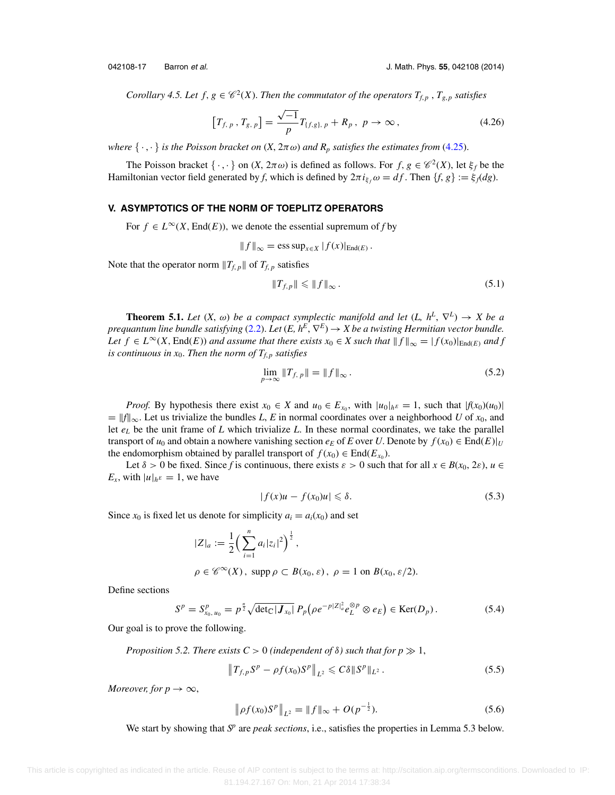<span id="page-16-0"></span>

*Corollary 4.5. Let f,*  $g \in \mathcal{C}^2(X)$ *. Then the commutator of the operators*  $T_{f,p}$ ,  $T_{g,p}$  *satisfies* 

$$
\left[T_{f, p}, T_{g, p}\right] = \frac{\sqrt{-1}}{p} T_{\{f, g\}, p} + R_p, \ p \to \infty, \tag{4.26}
$$

*where*  $\{\cdot,\cdot\}$  *is the Poisson bracket on*  $(X, 2\pi \omega)$  *and*  $R_p$  *satisfies the estimates from* [\(4.25\)](#page-15-0).

The Poisson bracket  $\{\cdot,\cdot\}$  on  $(X, 2\pi\omega)$  is defined as follows. For  $f, g \in \mathcal{C}^2(X)$ , let  $\xi_f$  be the Hamiltonian vector field generated by *f*, which is defined by  $2\pi i_{\xi_f}\omega = df$ . Then  $\{f, g\} := \xi_f dg$ .

#### **V. ASYMPTOTICS OF THE NORM OF TOEPLITZ OPERATORS**

For  $f \in L^{\infty}(X, \text{End}(E))$ , we denote the essential supremum of *f* by

$$
||f||_{\infty} = \operatorname{ess} \operatorname{sup}_{x \in X} |f(x)|_{\operatorname{End}(E)}.
$$

Note that the operator norm  $||T_{f,p}||$  of  $T_{f,p}$  satisfies

$$
||T_{f,p}|| \leq ||f||_{\infty}.
$$
\n(5.1)

**Theorem 5.1.** *Let*  $(X, \omega)$  *be a compact symplectic manifold and let*  $(L, h^L, \nabla^L) \rightarrow X$  *be a prequantum line bundle satisfying* [\(2.2\)](#page-2-0). *Let* (*E, h<sup>E</sup>,*  $\nabla$ *<sup>E</sup>)*  $\rightarrow$  *<i>X be a twisting Hermitian vector bundle. Let*  $f \in L^{\infty}(X, \text{End}(E))$  *and assume that there exists*  $x_0 \in X$  *such that*  $|| f ||_{\infty} = |f(x_0)|_{\text{End}(E)}$  *and* f *is continuous in*  $x_0$ *. Then the norm of*  $T_{f,p}$  *satisfies* 

$$
\lim_{p \to \infty} \|T_{f, p}\| = \|f\|_{\infty}.
$$
\n(5.2)

*Proof.* By hypothesis there exist  $x_0 \in X$  and  $u_0 \in E_{x_0}$ , with  $|u_0|_{h^E} = 1$ , such that  $|f(x_0)(u_0)|$  $=$   $||f||_{\infty}$ . Let us trivialize the bundles *L*, *E* in normal coordinates over a neighborhood *U* of *x*<sub>0</sub>, and let  $e<sub>L</sub>$  be the unit frame of  $L$  which trivialize  $L$ . In these normal coordinates, we take the parallel transport of  $u_0$  and obtain a nowhere vanishing section  $e_E$  of *E* over *U*. Denote by  $f(x_0) \in \text{End}(E)|_U$ the endomorphism obtained by parallel transport of  $f(x_0) \in \text{End}(E_{x_0})$ .

Let  $\delta > 0$  be fixed. Since f is continuous, there exists  $\varepsilon > 0$  such that for all  $x \in B(x_0, 2\varepsilon)$ ,  $u \in B(x_0, 2\varepsilon)$  $E_x$ , with  $|u|_{h^E} = 1$ , we have

$$
|f(x)u - f(x_0)u| \leq \delta. \tag{5.3}
$$

Since  $x_0$  is fixed let us denote for simplicity  $a_i = a_i(x_0)$  and set

$$
|Z|_a := \frac{1}{2} \left( \sum_{i=1}^n a_i |z_i|^2 \right)^{\frac{1}{2}},
$$
  
\n
$$
\rho \in \mathscr{C}^{\infty}(X), \text{ supp } \rho \subset B(x_0, \varepsilon), \ \rho = 1 \text{ on } B(x_0, \varepsilon/2).
$$

Define sections

$$
S^{p} = S_{x_{0}, u_{0}}^{p} = p^{\frac{n}{2}} \sqrt{\det_{\mathbb{C}} |\mathbf{J}_{x_{0}}|} P_{p} (\rho e^{-p|Z|_{a}^{2}} e_{L}^{\otimes p} \otimes e_{E}) \in \text{Ker}(D_{p}). \tag{5.4}
$$

Our goal is to prove the following.

*Proposition 5.2. There exists* 
$$
C > 0
$$
 *(independent of*  $\delta$ *) such that for*  $p \gg 1$ *,*

$$
\|T_{f,p}S^p - \rho f(x_0)S^p\|_{L^2} \leq C\delta \|S^p\|_{L^2}.
$$
\n(5.5)

*Moreover, for*  $p \rightarrow \infty$ ,

$$
\|\rho f(x_0)S^p\|_{L^2} = \|f\|_{\infty} + O(p^{-\frac{1}{2}}). \tag{5.6}
$$

We start by showing that *Sp* are *peak sections*, i.e., satisfies the properties in Lemma 5.3 below.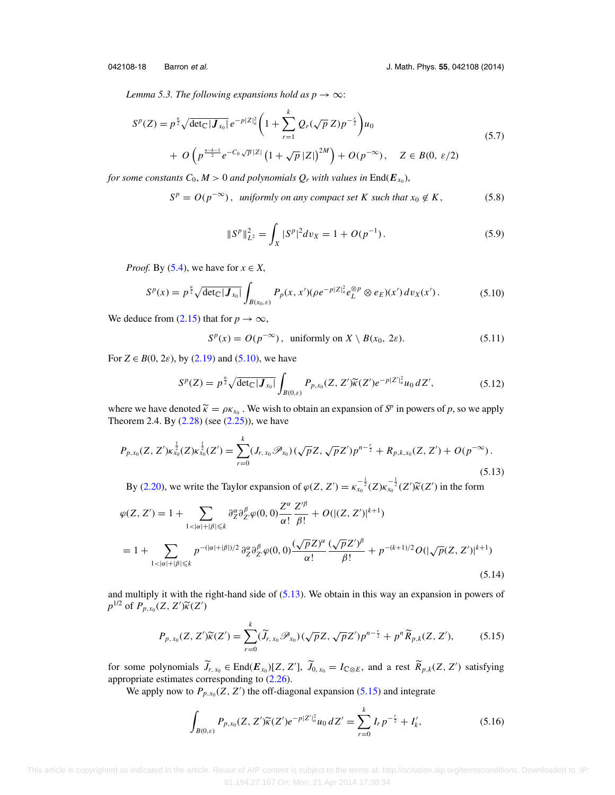<span id="page-17-0"></span>*Lemma 5.3. The following expansions hold as*  $p \rightarrow \infty$ :

$$
S^{p}(Z) = p^{\frac{n}{2}} \sqrt{\det_{\mathbb{C}} |\mathbf{J}_{x_{0}}|} e^{-p|Z|_{a}^{2}} \left( 1 + \sum_{r=1}^{k} Q_{r}(\sqrt{p} Z) p^{-\frac{r}{2}} \right) u_{0}
$$
  
+  $O \left( p^{\frac{n-k-1}{2}} e^{-C_{0} \sqrt{p} |Z|} \left( 1 + \sqrt{p} |Z| \right)^{2M} \right) + O(p^{-\infty}), \quad Z \in B(0, \varepsilon/2)$  (5.7)

*for some constants*  $C_0$ ,  $M > 0$  *and polynomials*  $Q_r$  *with values in* End( $E_{x_0}$ ),

$$
Sp = O(p-\infty), uniformly on any compact set K such that x0 \notin K,
$$
 (5.8)

$$
||Sp||L22 = \int_X |Sp|2 dv_X = 1 + O(p-1). \qquad (5.9)
$$

*Proof.* By [\(5.4\)](#page-16-0), we have for  $x \in X$ ,

$$
S^{p}(x) = p^{\frac{n}{2}} \sqrt{\det_{\mathbb{C}} |J_{x_{0}}|} \int_{B(x_{0}, \varepsilon)} P_{p}(x, x') (\rho e^{-p|Z|_{a}^{2}} e_{L}^{\otimes p} \otimes e_{E})(x') dv_{X}(x'). \qquad (5.10)
$$

We deduce from [\(2.15\)](#page-4-0) that for  $p \to \infty$ ,

$$
S^{p}(x) = O(p^{-\infty}), \text{ uniformly on } X \setminus B(x_0, 2\varepsilon). \tag{5.11}
$$

For  $Z \in B(0, 2\varepsilon)$ , by [\(2.19\)](#page-4-0) and (5.10), we have

$$
S^{p}(Z) = p^{\frac{n}{2}} \sqrt{\det_{\mathbb{C}} |J_{x_0}|} \int_{B(0,\varepsilon)} P_{p,x_0}(Z, Z') \widetilde{\kappa}(Z') e^{-p|Z'|_{a}^{2}} u_0 dZ', \qquad (5.12)
$$

where we have denoted  $\widetilde{\kappa} = \rho \kappa_{x_0}$ . We wish to obtain an expansion of  $S^p$  in powers of p, so we apply Theorem 2.4. By  $(2.28)$  (see  $(2.25)$ ), we have

$$
P_{p,x_0}(Z,Z')\kappa_{x_0}^{\frac{1}{2}}(Z)\kappa_{x_0}^{\frac{1}{2}}(Z') = \sum_{r=0}^k (J_{r,x_0}\mathscr{P}_{x_0})(\sqrt{p}Z,\sqrt{p}Z')p^{n-\frac{r}{2}} + R_{p,k,x_0}(Z,Z') + O(p^{-\infty}).
$$
\n(5.13)

By [\(2.20\)](#page-4-0), we write the Taylor expansion of  $\varphi(Z, Z') = \kappa_{x_0}^{-\frac{1}{2}}(Z)\kappa_{x_0}^{-\frac{1}{2}}(Z')\widetilde{\kappa}(Z')$  in the form

$$
\varphi(Z, Z') = 1 + \sum_{1 < |\alpha| + |\beta| \leq k} \partial_Z^{\alpha} \partial_{Z'}^{\beta} \varphi(0, 0) \frac{Z^{\alpha}}{\alpha!} \frac{Z'^{\beta}}{\beta!} + O(|(Z, Z')|^{k+1})
$$
\n
$$
= 1 + \sum_{1 < |\alpha| + |\beta| \leq k} p^{-(|\alpha| + |\beta|)/2} \partial_Z^{\alpha} \partial_{Z'}^{\beta} \varphi(0, 0) \frac{(\sqrt{p}Z)^{\alpha}}{\alpha!} \frac{(\sqrt{p}Z'^{\beta}}{\beta!} + p^{-(k+1)/2} O(|\sqrt{p}(Z, Z')|^{k+1}) \tag{5.14}
$$

and multiply it with the right-hand side of (5.13). We obtain in this way an expansion in powers of *p*<sup>1/2</sup> of  $P_{p,x_0}(Z, Z')\widetilde{\kappa}(Z')$ 

$$
P_{p,x_0}(Z,Z')\widetilde{\kappa}(Z') = \sum_{r=0}^k (\widetilde{J}_{r,x_0} \mathscr{P}_{x_0}) (\sqrt{p}Z, \sqrt{p}Z') p^{n-\frac{r}{2}} + p^n \widetilde{R}_{p,k}(Z,Z'),\tag{5.15}
$$

for some polynomials  $\widetilde{J}_{r, x_0} \in \text{End}(\mathbf{E}_{x_0})[Z, Z'], \widetilde{J}_{0, x_0} = I_{\mathbb{C} \otimes E}$ , and a rest  $\widetilde{R}_{p,k}(Z, Z')$  satisfying appropriate estimates corresponding to [\(2.26\)](#page-5-0).

We apply now to  $P_{p,x_0}(Z, Z')$  the off-diagonal expansion (5.15) and integrate

$$
\int_{B(0,\varepsilon)} P_{p,x_0}(Z,Z') \widetilde{\kappa}(Z') e^{-p|Z'|_a^2} u_0 \, dZ' = \sum_{r=0}^k I_r p^{-\frac{r}{2}} + I'_k,\tag{5.16}
$$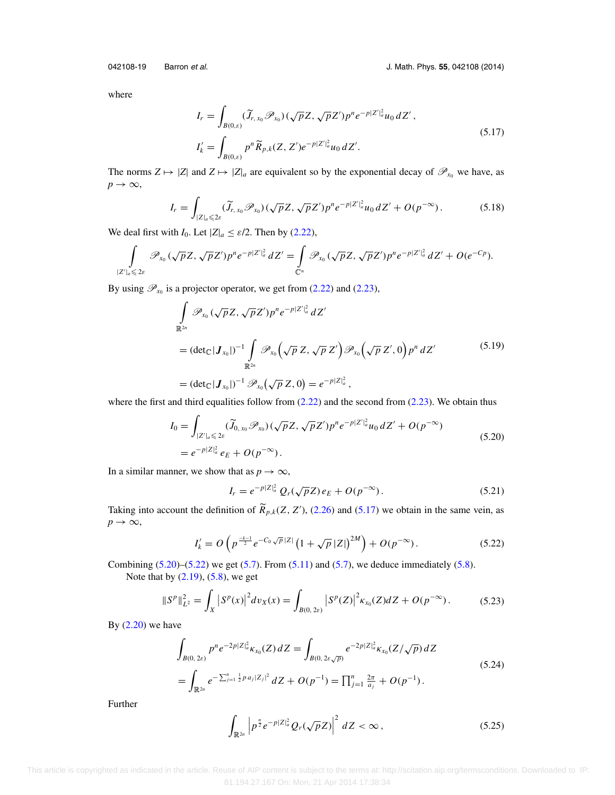<span id="page-18-0"></span>

where

$$
I_r = \int_{B(0,\varepsilon)} (\widetilde{J}_{r,x_0} \mathscr{P}_{x_0}) (\sqrt{p} Z, \sqrt{p} Z') p^n e^{-p|Z'|_a^2} u_0 dZ',
$$
  
\n
$$
I'_k = \int_{B(0,\varepsilon)} p^n \widetilde{R}_{p,k} (Z, Z') e^{-p|Z'|_a^2} u_0 dZ'.
$$
\n(5.17)

The norms  $Z \mapsto |Z|$  and  $Z \mapsto |Z|_a$  are equivalent so by the exponential decay of  $\mathscr{P}_{x_0}$  we have, as  $p \rightarrow \infty$ ,

$$
I_r = \int_{|Z|_a \leq 2\varepsilon} (\widetilde{J}_{r,x_0} \mathscr{P}_{x_0}) (\sqrt{p} Z, \sqrt{p} Z') p^n e^{-p|Z'|_a^2} u_0 dZ' + O(p^{-\infty}). \tag{5.18}
$$

We deal first with *I*<sub>0</sub>. Let  $|Z|_a \leq \varepsilon/2$ . Then by [\(2.22\)](#page-5-0),

$$
\int_{|Z'|_a \leqslant 2\varepsilon} \mathscr{P}_{x_0}(\sqrt{p}Z, \sqrt{p}Z')p^n e^{-p|Z'|_a^2} dZ' = \int_{\mathbb{C}^n} \mathscr{P}_{x_0}(\sqrt{p}Z, \sqrt{p}Z')p^n e^{-p|Z'|_a^2} dZ' + O(e^{-Cp}).
$$

By using  $\mathcal{P}_{x_0}$  is a projector operator, we get from [\(2.22\)](#page-5-0) and [\(2.23\)](#page-5-0),

$$
\int_{\mathbb{R}^{2n}} \mathscr{P}_{x_0}(\sqrt{p}Z, \sqrt{p}Z')p^n e^{-p|Z'|_a^2} dZ'
$$
\n
$$
= (\det_{\mathbb{C}}|\mathbf{J}_{x_0}|)^{-1} \int_{\mathbb{R}^{2n}} \mathscr{P}_{x_0}(\sqrt{p}Z, \sqrt{p}Z') \mathscr{P}_{x_0}(\sqrt{p}Z', 0) p^n dZ'
$$
\n
$$
= (\det_{\mathbb{C}}|\mathbf{J}_{x_0}|)^{-1} \mathscr{P}_{x_0}(\sqrt{p}Z, 0) = e^{-p|Z|_a^2},
$$
\n(5.19)

where the first and third equalities follow from  $(2.22)$  and the second from  $(2.23)$ . We obtain thus

$$
I_0 = \int_{|Z'|_a \leq 2\varepsilon} (\widetilde{J}_{0,x_0} \mathscr{P}_{x_0}) (\sqrt{p}Z, \sqrt{p}Z') p^n e^{-p|Z'|_a^2} u_0 dZ' + O(p^{-\infty})
$$
  
=  $e^{-p|Z|_a^2} e_E + O(p^{-\infty}).$  (5.20)

In a similar manner, we show that as  $p \to \infty$ ,

$$
I_r = e^{-p|Z|_a^2} Q_r(\sqrt{p}Z) e_E + O(p^{-\infty}).
$$
\n(5.21)

Taking into account the definition of  $\widetilde{R}_{p,k}(Z, Z')$ , [\(2.26\)](#page-5-0) and (5.17) we obtain in the same vein, as  $p \rightarrow \infty$ ,

$$
I'_{k} = O\left(p^{\frac{-k-1}{2}}e^{-C_0\sqrt{p}|Z|}\left(1+\sqrt{p}|Z|\right)^{2M}\right) + O(p^{-\infty}).
$$
\n(5.22)

Combining  $(5.20)$ – $(5.22)$  we get  $(5.7)$ . From  $(5.11)$  and  $(5.7)$ , we deduce immediately  $(5.8)$ . Note that by  $(2.19)$ ,  $(5.8)$ , we get

$$
||Sp||L22 = \int_X |Sp(x)|2 dv_X(x) = \int_{B(0, 2\varepsilon)} |Sp(Z)|2 \kappa_{x_0}(Z) dZ + O(p^{-\infty}).
$$
 (5.23)

By  $(2.20)$  we have

$$
\int_{B(0,2\varepsilon)} p^n e^{-2p|Z|_a^2} \kappa_{x_0}(Z) dZ = \int_{B(0,2\varepsilon\sqrt{p})} e^{-2p|Z|_a^2} \kappa_{x_0}(Z/\sqrt{p}) dZ
$$
\n
$$
= \int_{\mathbb{R}^{2n}} e^{-\sum_{j=1}^n \frac{1}{2}p a_j |Z_j|^2} dZ + O(p^{-1}) = \prod_{j=1}^n \frac{2\pi}{a_j} + O(p^{-1}).
$$
\n(5.24)

Further

$$
\int_{\mathbb{R}^{2n}} \left| p^{\frac{n}{2}} e^{-p|Z|_a^2} Q_r(\sqrt{p}Z) \right|^2 dZ < \infty ,\qquad (5.25)
$$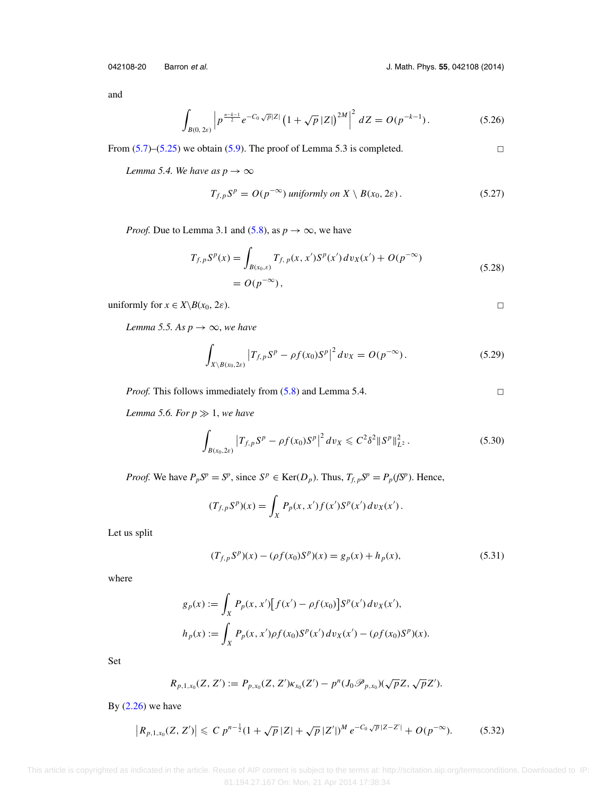<span id="page-19-0"></span>042108-20 Barron et al. J. Math. Phys. **55**, 042108 (2014)

and

$$
\int_{B(0,2\varepsilon)} \left| p^{\frac{n-k-1}{2}} e^{-C_0 \sqrt{p}|Z|} \left( 1 + \sqrt{p} |Z| \right)^{2M} \right|^2 dZ = O(p^{-k-1}). \tag{5.26}
$$

From  $(5.7)$ – $(5.25)$  we obtain  $(5.9)$ . The proof of Lemma 5.3 is completed.

*Lemma 5.4. We have as*  $p \rightarrow \infty$ 

$$
T_{f,p}S^{p} = O(p^{-\infty}) \text{ uniformly on } X \setminus B(x_0, 2\varepsilon). \tag{5.27}
$$

*Proof.* Due to Lemma 3.1 and [\(5.8\)](#page-17-0), as  $p \to \infty$ , we have

$$
T_{f,p}S^{p}(x) = \int_{B(x_0,\varepsilon)} T_{f,\,p}(x,x')S^{p}(x')\,dv_{X}(x') + O(p^{-\infty})
$$
\n
$$
= O(p^{-\infty}),
$$
\n(5.28)

uniformly for  $x \in X \backslash B(x_0, 2\varepsilon)$ .

*Lemma 5.5. As*  $p \rightarrow \infty$ , *we have* 

$$
\int_{X \setminus B(x_0, 2\varepsilon)} \left| T_{f, p} S^p - \rho f(x_0) S^p \right|^2 dv_X = O(p^{-\infty}). \tag{5.29}
$$

*Proof.* This follows immediately from  $(5.8)$  and Lemma 5.4.

 $\Box$ 

 $\hfill \square$ 

 $\Box$ 

*Lemma 5.6. For*  $p \gg 1$ *, we have* 

$$
\int_{B(x_0,2\varepsilon)} \left| T_{f,p} S^p - \rho f(x_0) S^p \right|^2 dv_X \leqslant C^2 \delta^2 \| S^p \|_{L^2}^2 \,. \tag{5.30}
$$

*Proof.* We have  $P_p S^p = S^p$ , since  $S^p \in \text{Ker}(D_p)$ . Thus,  $T_{f, p} S^p = P_p(f S^p)$ . Hence,

$$
(T_{f,p}S^{p})(x) = \int_{X} P_{p}(x, x') f(x') S^{p}(x') \, dv_{X}(x') \, .
$$

Let us split

$$
(T_{f,p}S^{p})(x) - (\rho f(x_0)S^{p})(x) = g_p(x) + h_p(x),
$$
\n(5.31)

where

$$
g_p(x) := \int_X P_p(x, x') [f(x') - \rho f(x_0)] S^p(x') dv_X(x'),
$$
  

$$
h_p(x) := \int_X P_p(x, x') \rho f(x_0) S^p(x') dv_X(x') - (\rho f(x_0) S^p)(x).
$$

Set

$$
R_{p,1,x_0}(Z,Z') := P_{p,x_0}(Z,Z')\kappa_{x_0}(Z') - p^n(J_0\mathscr{P}_{p,x_0})(\sqrt{p}Z,\sqrt{p}Z').
$$

By  $(2.26)$  we have

$$
\left|R_{p,1,x_0}(Z,Z')\right| \leqslant C \, p^{n-\frac{1}{2}} (1+\sqrt{p} \, |Z|+\sqrt{p} \, |Z'|)^M \, e^{-C_0 \sqrt{p} \, |Z-Z'|}+O(p^{-\infty}).\tag{5.32}
$$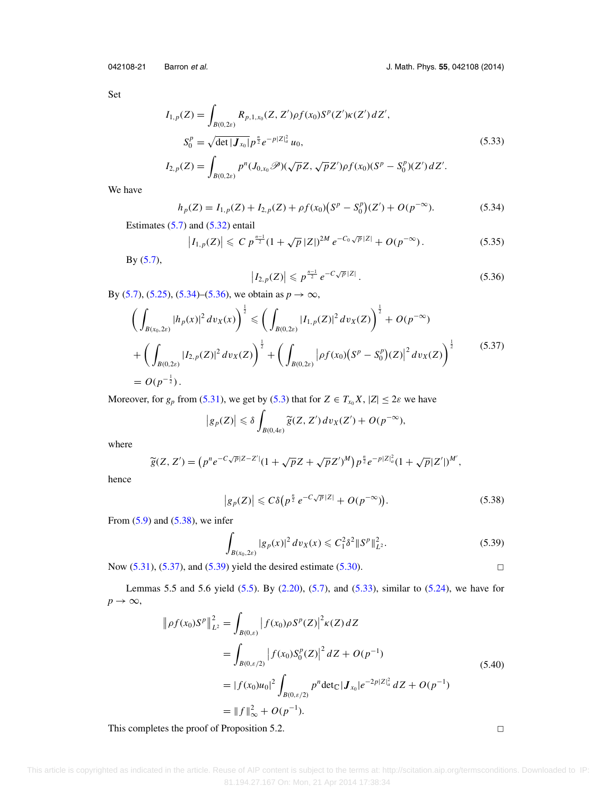Set

$$
I_{1,p}(Z) = \int_{B(0,2\varepsilon)} R_{p,1,x_0}(Z, Z') \rho f(x_0) S^p(Z') \kappa(Z') dZ',
$$
  
\n
$$
S_0^p = \sqrt{\det |\mathbf{J}_{x_0}|} p^{\frac{n}{2}} e^{-p|Z|_a^2} u_0,
$$
\n(5.33)

$$
I_{2,p}(Z) = \int_{B(0,2\varepsilon)} p^n(J_{0,x_0}\mathscr{P})(\sqrt{p}Z,\sqrt{p}Z')\rho f(x_0)(S^p - S_0^p)(Z')\,dZ'.
$$

We have

$$
h_p(Z) = I_{1,p}(Z) + I_{2,p}(Z) + \rho f(x_0) (S^p - S_0^p)(Z') + O(p^{-\infty}).
$$
\n(5.34)

Estimates  $(5.7)$  and  $(5.32)$  entail

$$
\left|I_{1,p}(Z)\right| \leqslant C \ p^{\frac{n-1}{2}} (1 + \sqrt{p} \, |Z|)^{2M} \ e^{-C_0 \sqrt{p} \, |Z|} + O(p^{-\infty}). \tag{5.35}
$$

By [\(5.7\)](#page-17-0),

$$
\left| I_{2,p}(Z) \right| \leqslant p^{\frac{n-1}{2}} \, e^{-C\sqrt{p}|Z|} \,. \tag{5.36}
$$

By [\(5.7\)](#page-17-0), [\(5.25\)](#page-18-0), (5.34)–(5.36), we obtain as  $p \to \infty$ ,

$$
\left(\int_{B(x_0,2\varepsilon)} |h_p(x)|^2 dv_X(x)\right)^{\frac{1}{2}} \leq \left(\int_{B(0,2\varepsilon)} |I_{1,p}(Z)|^2 dv_X(Z)\right)^{\frac{1}{2}} + O(p^{-\infty}) \n+ \left(\int_{B(0,2\varepsilon)} |I_{2,p}(Z)|^2 dv_X(Z)\right)^{\frac{1}{2}} + \left(\int_{B(0,2\varepsilon)} |pf(x_0)(S^p - S_0^p)(Z)|^2 dv_X(Z)\right)^{\frac{1}{2}} \tag{5.37}
$$
\n
$$
= O(p^{-\frac{1}{2}}).
$$

Moreover, for  $g_p$  from [\(5.31\)](#page-19-0), we get by [\(5.3\)](#page-16-0) that for  $Z \in T_{x_0}X$ ,  $|Z| \leq 2\varepsilon$  we have

$$
\big|g_p(Z)\big|\leqslant \delta \int_{B(0,4\varepsilon)}\widetilde{g}(Z,Z')\,dv_X(Z')+O(p^{-\infty}),
$$

where

$$
\widetilde{g}(Z, Z') = (p^n e^{-C\sqrt{p}|Z - Z'|}(1 + \sqrt{p}Z + \sqrt{p}Z')^M) p^{\frac{n}{2}} e^{-p|Z|_a^2} (1 + \sqrt{p}|Z'|)^{M'},
$$

hence

$$
\left|g_p(Z)\right| \leqslant C\delta\left(p^{\frac{n}{2}}e^{-C\sqrt{p}|Z|} + O(p^{-\infty})\right).
$$
 (5.38)

From  $(5.9)$  and  $(5.38)$ , we infer

$$
\int_{B(x_0, 2\varepsilon)} |g_p(x)|^2 \, dv_X(x) \leqslant C_1^2 \delta^2 \|S^p\|_{L^2}^2. \tag{5.39}
$$

Now [\(5.31\)](#page-19-0), (5.37), and (5.39) yield the desired estimate [\(5.30\)](#page-19-0).

Lemmas 5.5 and 5.6 yield [\(5.5\)](#page-16-0). By [\(2.20\)](#page-4-0), [\(5.7\)](#page-17-0), and (5.33), similar to [\(5.24\)](#page-18-0), we have for  $p \rightarrow \infty$ ,

$$
\|\rho f(x_0)S^p\|_{L^2}^2 = \int_{B(0,\varepsilon)} |f(x_0)\rho S^p(Z)|^2 \kappa(Z) dZ
$$
  
\n
$$
= \int_{B(0,\varepsilon/2)} |f(x_0)S_0^p(Z)|^2 dZ + O(p^{-1})
$$
  
\n
$$
= |f(x_0)u_0|^2 \int_{B(0,\varepsilon/2)} p^n \det_C |\mathbf{J}_{x_0}| e^{-2p|Z|_a^2} dZ + O(p^{-1})
$$
  
\n
$$
= ||f||_{\infty}^2 + O(p^{-1}).
$$
\n(5.40)

This completes the proof of Proposition 5.2.

 $\Box$ 

 $\Box$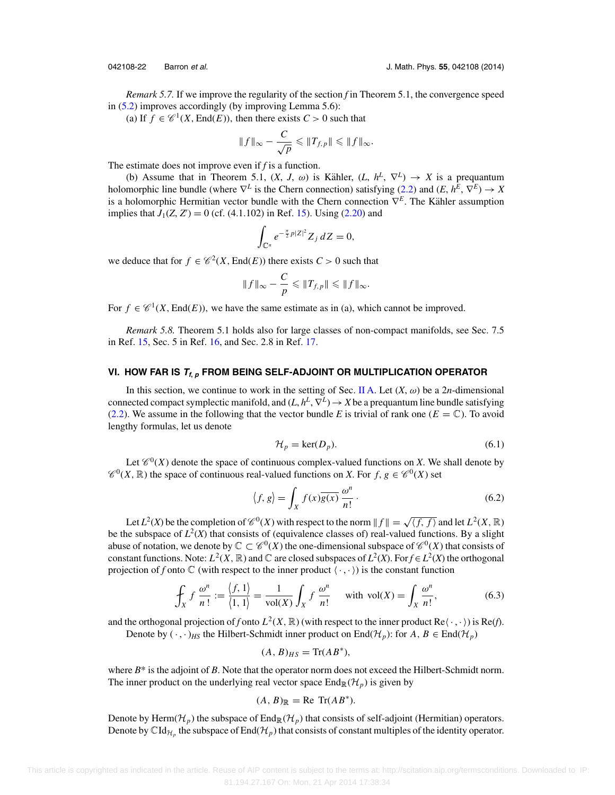<span id="page-21-0"></span>

*Remark 5.7.* If we improve the regularity of the section *f* in Theorem 5.1, the convergence speed in [\(5.2\)](#page-16-0) improves accordingly (by improving Lemma 5.6):

(a) If  $f \in \mathcal{C}^1(X, \text{End}(E))$ , then there exists  $C > 0$  such that

$$
||f||_{\infty} - \frac{C}{\sqrt{p}} \leq ||T_{f,p}|| \leq ||f||_{\infty}.
$$

The estimate does not improve even if *f* is a function.

(b) Assume that in Theorem 5.1,  $(X, J, \omega)$  is Kähler,  $(L, h^L, \nabla^L) \rightarrow X$  is a prequantum holomorphic line bundle (where  $\nabla^L$  is the Chern connection) satisfying [\(2.2\)](#page-2-0) and (*E*,  $h^E$ ,  $\nabla^E$ )  $\rightarrow X$ is a holomorphic Hermitian vector bundle with the Chern connection  $\nabla^E$ . The Kähler assumption implies that  $J_1(Z, Z') = 0$  (cf. (4.1.102) in Ref. [15\)](#page-24-0). Using [\(2.20\)](#page-4-0) and

$$
\int_{\mathbb{C}^n} e^{-\frac{\pi}{2}p|Z|^2} Z_j dZ = 0,
$$

we deduce that for  $f \in \mathcal{C}^2(X, \text{End}(E))$  there exists  $C > 0$  such that

$$
||f||_{\infty} - \frac{C}{p} \leq ||T_{f,p}|| \leq ||f||_{\infty}.
$$

For  $f \in \mathcal{C}^1(X, \text{End}(E))$ , we have the same estimate as in (a), which cannot be improved.

*Remark 5.8.* Theorem 5.1 holds also for large classes of non-compact manifolds, see Sec. 7.5 in Ref. [15,](#page-24-0) Sec. 5 in Ref. [16,](#page-24-0) and Sec. 2.8 in Ref. [17.](#page-24-0)

### **VI. HOW FAR IS <sup>T</sup>f, <sup>p</sup> FROM BEING SELF-ADJOINT OR MULTIPLICATION OPERATOR**

In this section, we continue to work in the setting of Sec. [II A.](#page-2-0) Let  $(X, \omega)$  be a 2*n*-dimensional connected compact symplectic manifold, and  $(L, h^L, \nabla^L) \rightarrow X$  be a prequantum line bundle satisfying [\(2.2\)](#page-2-0). We assume in the following that the vector bundle *E* is trivial of rank one ( $E = \mathbb{C}$ ). To avoid lengthy formulas, let us denote

$$
\mathcal{H}_p = \ker(D_p). \tag{6.1}
$$

Let  $\mathcal{C}^0(X)$  denote the space of continuous complex-valued functions on *X*. We shall denote by  $\mathcal{C}^0(X,\mathbb{R})$  the space of continuous real-valued functions on *X*. For  $f, g \in \mathcal{C}^0(X)$  set

$$
\langle f, g \rangle = \int_X f(x) \overline{g(x)} \, \frac{\omega^n}{n!} \,. \tag{6.2}
$$

Let  $L^2(X)$  be the completion of  $\mathcal{C}^0(X)$  with respect to the norm  $|| f || = \sqrt{\langle f, f \rangle}$  and let  $L^2(X, \mathbb{R})$ be the subspace of  $L^2(X)$  that consists of (equivalence classes of) real-valued functions. By a slight abuse of notation, we denote by  $\mathbb{C} \subset \mathcal{C}^0(X)$  the one-dimensional subspace of  $\mathcal{C}^0(X)$  that consists of constant functions. Note:  $L^2(X, \mathbb{R})$  and  $\mathbb{C}$  are closed subspaces of  $L^2(X)$ . For  $f \in L^2(X)$  the orthogonal projection of *f* onto  $\mathbb C$  (with respect to the inner product  $\langle \cdot, \cdot \rangle$ ) is the constant function

$$
\oint_X f \frac{\omega^n}{n!} := \frac{\langle f, 1 \rangle}{\langle 1, 1 \rangle} = \frac{1}{\text{vol}(X)} \int_X f \frac{\omega^n}{n!} \quad \text{with } \text{vol}(X) = \int_X \frac{\omega^n}{n!},\tag{6.3}
$$

and the orthogonal projection of *f* onto  $L^2(X, \mathbb{R})$  (with respect to the inner product  $\text{Re}\langle \cdot, \cdot \rangle$ ) is  $\text{Re}(f)$ .

Denote by  $(\cdot, \cdot)_{HS}$  the Hilbert-Schmidt inner product on End( $\mathcal{H}_p$ ): for  $A, B \in \text{End}(\mathcal{H}_p)$ 

$$
(A, B)_{HS} = \text{Tr}(AB^*),
$$

where  $B^*$  is the adjoint of *B*. Note that the operator norm does not exceed the Hilbert-Schmidt norm. The inner product on the underlying real vector space  $\text{End}_{\mathbb{R}}(\mathcal{H}_p)$  is given by

$$
(A, B)_{\mathbb{R}} = \text{Re Tr}(AB^*).
$$

Denote by Herm( $\mathcal{H}_p$ ) the subspace of End<sub>R</sub>( $\mathcal{H}_p$ ) that consists of self-adjoint (Hermitian) operators. Denote by  $\mathrm{CId}_{\mathcal{H}_p}$  the subspace of End( $\mathcal{H}_p$ ) that consists of constant multiples of the identity operator.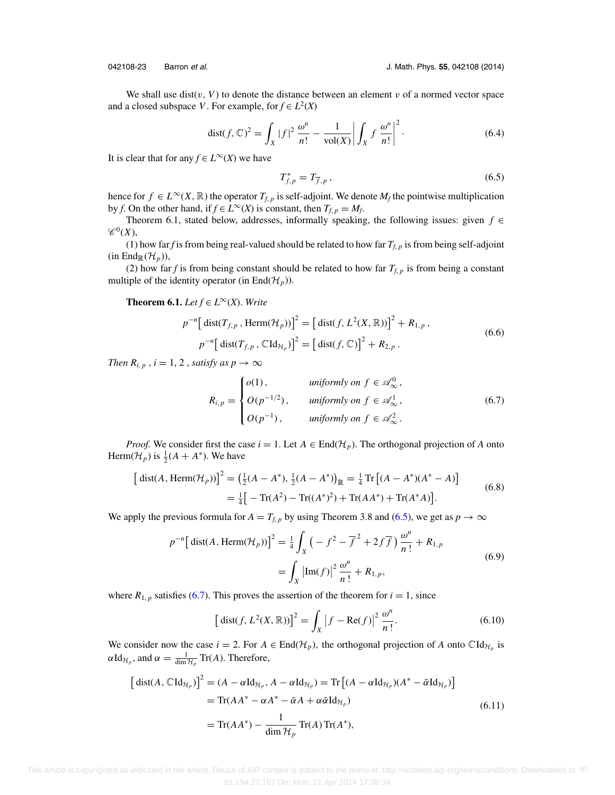<span id="page-22-0"></span>

We shall use dist( $v, V$ ) to denote the distance between an element v of a normed vector space and a closed subspace *V*. For example, for  $f \in L^2(X)$ 

$$
\operatorname{dist}(f, \mathbb{C})^2 = \int_X |f|^2 \, \frac{\omega^n}{n!} - \frac{1}{\operatorname{vol}(X)} \left| \int_X f \, \frac{\omega^n}{n!} \right|^2. \tag{6.4}
$$

It is clear that for any  $f \in L^{\infty}(X)$  we have

$$
T_{f,p}^* = T_{\overline{f},p} \,, \tag{6.5}
$$

hence for  $f \in L^{\infty}(X, \mathbb{R})$  the operator  $T_{f, p}$  is self-adjoint. We denote  $M_f$  the pointwise multiplication by *f*. On the other hand, if  $f \in L^{\infty}(X)$  is constant, then  $T_{f, p} = M_f$ .

Theorem 6.1, stated below, addresses, informally speaking, the following issues: given *f* ∈  $\mathscr{C}^0(X),$ 

(1) how far *f* is from being real-valued should be related to how far  $T_{f, p}$  is from being self-adjoint  $(in End_{\mathbb{R}}(\mathcal{H}_p)),$ 

(2) how far *f* is from being constant should be related to how far  $T_{f, p}$  is from being a constant multiple of the identity operator (in End $(\mathcal{H}_p)$ ).

**Theorem 6.1.** *Let*  $f \in L^\infty(X)$ . *Write* 

$$
p^{-n} \left[ \text{ dist}(T_{f,p}, \text{Herm}(\mathcal{H}_p)) \right]^2 = \left[ \text{ dist}(f, L^2(X, \mathbb{R})) \right]^2 + R_{1,p},
$$
  
\n
$$
p^{-n} \left[ \text{ dist}(T_{f,p}, \mathbb{C} \text{Id}_{\mathcal{H}_p}) \right]^2 = \left[ \text{ dist}(f, \mathbb{C}) \right]^2 + R_{2,p}. \tag{6.6}
$$

*Then*  $R_{i, p}$ ,  $i = 1, 2$ , *satisfy as*  $p \rightarrow \infty$ 

$$
R_{i,p} = \begin{cases} o(1), & \text{uniformly on } f \in \mathcal{A}_{\infty}^0, \\ O(p^{-1/2}), & \text{uniformly on } f \in \mathcal{A}_{\infty}^1, \\ O(p^{-1}), & \text{uniformly on } f \in \mathcal{A}_{\infty}^2. \end{cases} \tag{6.7}
$$

*Proof.* We consider first the case  $i = 1$ . Let  $A \in End(\mathcal{H}_p)$ . The orthogonal projection of *A* onto Herm( $\mathcal{H}_p$ ) is  $\frac{1}{2}(A + A^*)$ . We have

$$
\begin{aligned} \left[ \text{ dist}(A, \text{Herm}(\mathcal{H}_p)) \right]^2 &= \left( \frac{1}{2} (A - A^*), \frac{1}{2} (A - A^*) \right)_{\mathbb{R}} = \frac{1}{4} \operatorname{Tr} \left[ (A - A^*) (A^* - A) \right] \\ &= \frac{1}{4} \left[ -\operatorname{Tr}(A^2) - \operatorname{Tr}((A^*)^2) + \operatorname{Tr}(AA^*) + \operatorname{Tr}(A^*A) \right]. \end{aligned} \tag{6.8}
$$

We apply the previous formula for  $A = T_{f,p}$  by using Theorem 3.8 and (6.5), we get as  $p \to \infty$ 

$$
p^{-n} \left[ \text{dist}(A, \text{Herm}(\mathcal{H}_p)) \right]^2 = \frac{1}{4} \int_X \left( -f^2 - \overline{f}^2 + 2f\overline{f} \right) \frac{\omega^n}{n!} + R_{1,p}
$$
  
= 
$$
\int_X \left| \text{Im}(f) \right|^2 \frac{\omega^n}{n!} + R_{1,p},
$$
 (6.9)

where  $R_{1,p}$  satisfies (6.7). This proves the assertion of the theorem for  $i = 1$ , since

$$
\left[\operatorname{dist}(f, L^2(X, \mathbb{R}))\right]^2 = \int_X \left|f - \operatorname{Re}(f)\right|^2 \frac{\omega^n}{n!}.\tag{6.10}
$$

We consider now the case  $i = 2$ . For  $A \in End(\mathcal{H}_p)$ , the orthogonal projection of A onto  $\mathbb{C} \mathrm{Id}_{\mathcal{H}_p}$  is  $\alpha \, \mathrm{Id}_{\mathcal{H}_p}$ , and  $\alpha = \frac{1}{\dim \mathcal{H}_p} \, \mathrm{Tr}(A).$  Therefore,

$$
\begin{aligned}\n\left[\,\text{dist}(A,\mathbb{C}\,\text{Id}_{\mathcal{H}_p})\right]^2 &= (A - \alpha \text{Id}_{\mathcal{H}_p}, A - \alpha \text{Id}_{\mathcal{H}_p}) = \text{Tr}\left[(A - \alpha \text{Id}_{\mathcal{H}_p})(A^* - \bar{\alpha} \text{Id}_{\mathcal{H}_p})\right] \\
&= \text{Tr}(AA^* - \alpha A^* - \bar{\alpha} A + \alpha \bar{\alpha} \text{Id}_{\mathcal{H}_p}) \\
&= \text{Tr}(AA^*) - \frac{1}{\dim \mathcal{H}_p} \text{Tr}(A) \text{Tr}(A^*),\n\end{aligned} \tag{6.11}
$$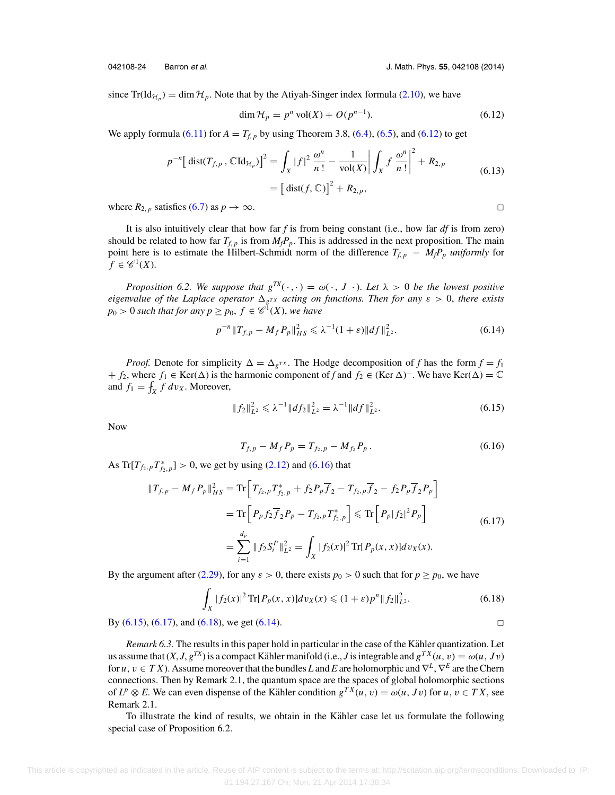$\Box$ 

 $\Box$ 

since  $Tr(\mathrm{Id}_{\mathcal{H}_p}) = \dim \mathcal{H}_p$ . Note that by the Atiyah-Singer index formula [\(2.10\)](#page-3-0), we have

$$
\dim \mathcal{H}_p = p^n \operatorname{vol}(X) + O(p^{n-1}).\tag{6.12}
$$

We apply formula [\(6.11\)](#page-22-0) for  $A = T_{f, p}$  by using Theorem 3.8, [\(6.4\)](#page-22-0), [\(6.5\)](#page-22-0), and (6.12) to get

$$
p^{-n} \left[ \text{dist}(T_{f,p}, \mathbb{C} \text{Id}_{\mathcal{H}_p}) \right]^2 = \int_X |f|^2 \, \frac{\omega^n}{n!} - \frac{1}{\text{vol}(X)} \left| \int_X f \, \frac{\omega^n}{n!} \right|^2 + R_{2,p} \\ = \left[ \text{dist}(f, \mathbb{C}) \right]^2 + R_{2,p}, \tag{6.13}
$$

where  $R_{2, p}$  satisfies [\(6.7\)](#page-22-0) as  $p \to \infty$ .

It is also intuitively clear that how far  $f$  is from being constant (i.e., how far  $df$  is from zero) should be related to how far  $T_{f, p}$  is from  $M_f P_p$ . This is addressed in the next proposition. The main point here is to estimate the Hilbert-Schmidt norm of the difference  $T_{f, p} - M_f P_p$  *uniformly* for  $f \in \mathscr{C}^1(X)$ .

*Proposition 6.2. We suppose that*  $g^{TX}(\cdot, \cdot) = \omega(\cdot, J \cdot)$ *. Let*  $\lambda > 0$  *be the lowest positive eigenvalue of the Laplace operator*  $\Delta_{g^{TX}}$  *acting on functions. Then for any*  $\varepsilon > 0$ *, there exists*  $p_0 > 0$  *such that for any*  $p \geq p_0, f \in \mathscr{C}^1(X)$ *, we have* 

$$
p^{-n} \|T_{f,p} - M_f P_p\|_{HS}^2 \leq \lambda^{-1} (1+\varepsilon) \|df\|_{L^2}^2.
$$
 (6.14)

*Proof.* Denote for simplicity  $\Delta = \Delta_{g^{TX}}$ . The Hodge decomposition of *f* has the form  $f = f_1$ + *f*<sub>2</sub>, where *f*<sub>1</sub> ∈ Ker( $\Delta$ ) is the harmonic component of *f* and *f*<sub>2</sub> ∈ (Ker  $\Delta$ )<sup>⊥</sup>. We have Ker( $\Delta$ ) =  $\mathbb{C}$ and  $f_1 = \int_X f \, dv_X$ . Moreover,

$$
||f_2||_{L^2}^2 \leq \lambda^{-1}||df_2||_{L^2}^2 = \lambda^{-1}||df||_{L^2}^2.
$$
 (6.15)

Now

$$
T_{f,p} - M_f P_p = T_{f_2,p} - M_{f_2} P_p. \tag{6.16}
$$

As Tr[ $T_{f_2,p}T_{f_2,p}^*$ ] > 0, we get by using [\(2.12\)](#page-3-0) and (6.16) that

$$
||T_{f,p} - M_f P_p||_{HS}^2 = \text{Tr}\left[T_{f_2,p}T_{f_2,p}^* + f_2 P_p \overline{f}_2 - T_{f_2,p} \overline{f}_2 - f_2 P_p \overline{f}_2 P_p\right]
$$
  
\n
$$
= \text{Tr}\left[P_p f_2 \overline{f}_2 P_p - T_{f_2,p} T_{f_2,p}^*\right] \leq \text{Tr}\left[P_p |f_2|^2 P_p\right]
$$
  
\n
$$
= \sum_{i=1}^{d_p} ||f_2 S_i^P||_{L^2}^2 = \int_X |f_2(x)|^2 \text{Tr}[P_p(x,x)] dv_X(x).
$$
 (6.17)

By the argument after [\(2.29\)](#page-6-0), for any  $\varepsilon > 0$ , there exists  $p_0 > 0$  such that for  $p \ge p_0$ , we have

$$
\int_{X} |f_2(x)|^2 \operatorname{Tr}[P_p(x,x)] dv_X(x) \leq (1+\varepsilon)p^n \|f_2\|_{L^2}^2.
$$
\n(6.18)

By  $(6.15)$ ,  $(6.17)$ , and  $(6.18)$ , we get  $(6.14)$ .

*Remark 6.3.* The results in this paper hold in particular in the case of the Kähler quantization. Let us assume that  $(X, J, g^{TX})$  is a compact Kähler manifold (i.e., *J* is integrable and  $g^{TX}(u, v) = \omega(u, Jv)$ for *u*,v ∈ *T X*). Assume moreover that the bundles *L* and *E* are holomorphic and ∇*<sup>L</sup>*, ∇*<sup>E</sup>* are the Chern connections. Then by Remark 2.1, the quantum space are the spaces of global holomorphic sections of  $L^p \otimes E$ . We can even dispense of the Kähler condition  $g^{TX}(u, v) = \omega(u, Jv)$  for  $u, v \in TX$ , see Remark 2.1.

To illustrate the kind of results, we obtain in the Kähler case let us formulate the following special case of Proposition 6.2.